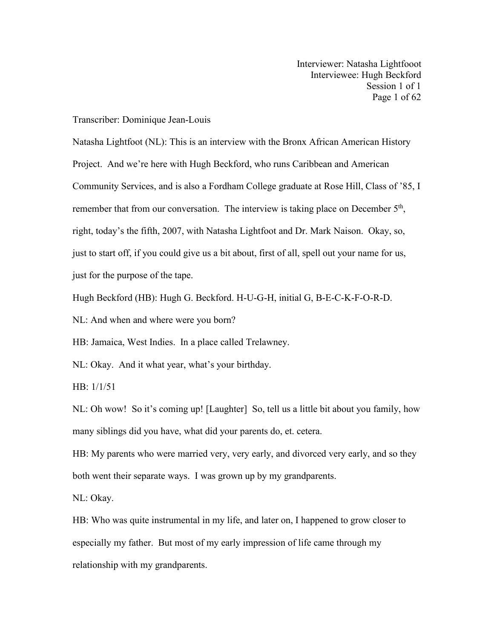Interviewer: Natasha Lightfooot Interviewee: Hugh Beckford Session 1 of 1 Page 1 of 62

## Transcriber: Dominique Jean-Louis

Natasha Lightfoot (NL): This is an interview with the Bronx African American History Project. And we're here with Hugh Beckford, who runs Caribbean and American Community Services, and is also a Fordham College graduate at Rose Hill, Class of'85, I remember that from our conversation. The interview is taking place on December 5<sup>th</sup>,  $\overline{\phantom{a}}$ , right, today's the fifth, 2007, with Natasha Lightfoot and Dr. Mark Naison. Okay, so, just to start off, if you could give us a bit about, first of all, spell out your name for us, just for the purpose of the tape.

Hugh Beckford (HB): Hugh G. Beckford. H-U-G-H, initial G, B-E-C-K-F-O-R-D.

NL: And when and where were you born?

HB: Jamaica, West Indies. In a place called Trelawney.

NL: Okay. And it what year, what's your birthday.

HB: 1/1/51

NL: Oh wow! So it's coming up! [Laughter] So, tell us a little bit about you family, how many siblings did you have, what did your parents do, et. cetera.

HB: My parents who were married very, very early, and divorced very early, and so they both went their separate ways. I was grown up by my grandparents.

NL: Okay.

HB: Who was quite instrumental in my life, and later on, I happened to grow closer to especially my father. But most of my early impression of life came through my relationship with my grandparents.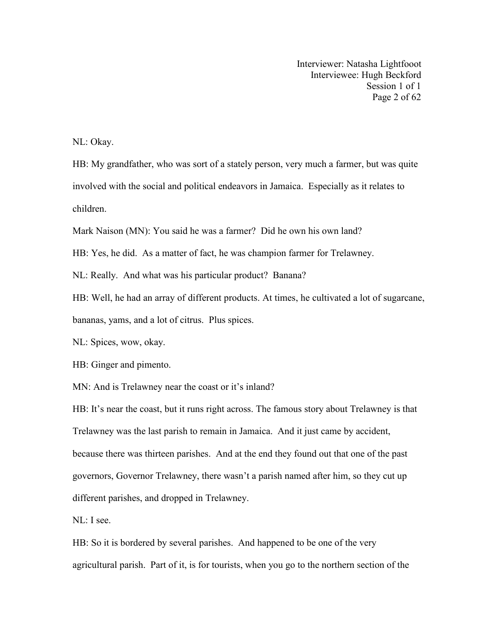Interviewer: Natasha Lightfooot Interviewee: Hugh Beckford Session 1 of 1 Page 2 of 62

NL: Okay.

HB: My grandfather, who was sort of a stately person, very much a farmer, but was quite involved with the social and political endeavors in Jamaica. Especially as it relates to children.

Mark Naison (MN): You said he was a farmer? Did he own his own land?

HB: Yes, he did. As a matter of fact, he was champion farmer for Trelawney.

NL: Really. And what was his particular product? Banana?

HB: Well, he had an array of different products. At times, he cultivated a lot of sugarcane, bananas, yams, and a lot of citrus. Plus spices.

NL: Spices, wow, okay.

HB: Ginger and pimento.

MN: And is Trelawney near the coast or it's inland?

HB: It's near the coast, but it runs right across. The famous story about Trelawney is that Trelawney was the last parish to remain in Jamaica. And it just came by accident, because there was thirteen parishes. And at the end they found out that one of the past governors, Governor Trelawney, there wasn't a parish named after him, so they cut up different parishes, and dropped in Trelawney.

NL: I see.

HB: So it is bordered by several parishes. And happened to be one of the very agricultural parish. Part of it, is for tourists, when you go to the northern section of the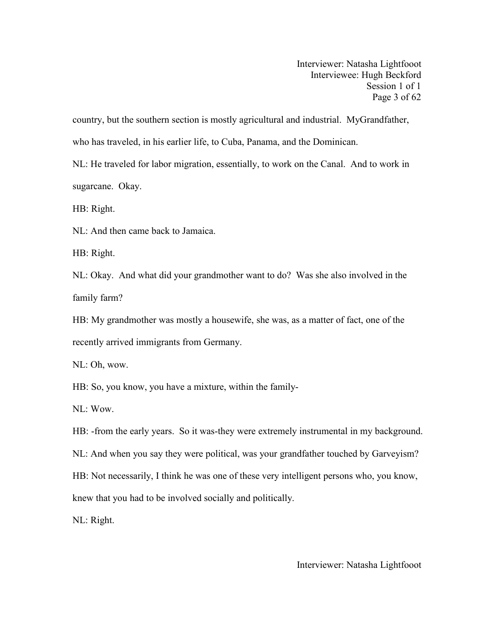Interviewer: Natasha Lightfooot Interviewee: Hugh Beckford Session 1 of 1 Page 3 of 62

country, but the southern section is mostly agricultural and industrial. MyGrandfather, who has traveled, in his earlier life, to Cuba, Panama, and the Dominican.

NL: He traveled for labor migration, essentially, to work on the Canal. And to work in sugarcane. Okay.

HB: Right.

NL: And then came back to Jamaica.

HB: Right.

NL: Okay. And what did your grandmother want to do? Was she also involved in the family farm?

HB: My grandmother was mostly a housewife, she was, as a matter of fact, one of the recently arrived immigrants from Germany.

NL: Oh, wow.

HB: So, you know, you have a mixture, within the family-

NL: Wow.

HB: -from the early years. So it was-they were extremely instrumental in my background.

NL: And when you say they were political, was your grandfather touched by Garveyism?

HB: Not necessarily, I think he was one of these very intelligent persons who, you know,

knew that you had to be involved socially and politically.

NL: Right.

Interviewer: Natasha Lightfooot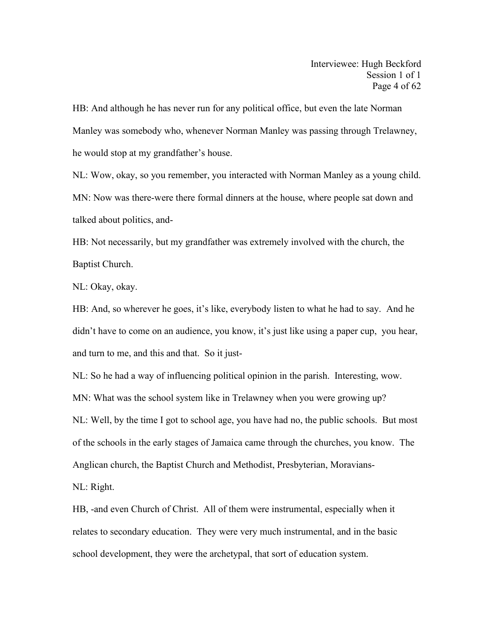HB: And although he has never run for any political office, but even the late Norman Manley was somebody who, whenever Norman Manley was passing through Trelawney, he would stop at my grandfather's house.

NL: Wow, okay, so you remember, you interacted with Norman Manley as a young child. MN: Now was there-were there formal dinners at the house, where people sat down and talked about politics, and-

HB: Not necessarily, but my grandfather was extremely involved with the church, the Baptist Church.

NL: Okay, okay.

HB: And, so wherever he goes, it's like, everybody listen to what he had to say. And he didn't have to come on an audience, you know, it's just like using a papercup, you hear, and turn to me, and this and that. So it just-

NL: So he had a way of influencing political opinion in the parish. Interesting, wow.

MN: What was the school system like in Trelawney when you were growing up?

NL: Well, by the time I got to school age,you have had no, the public schools. But most of the schools in the early stages of Jamaica came through the churches, you know. The Anglican church, the Baptist Church and Methodist, Presbyterian, Moravians-

NL: Right.

HB, -and even Church of Christ. All of them were instrumental, especially when it relates to secondary education. They were very much instrumental, and in the basic school development, they were the archetypal, that sort of education system.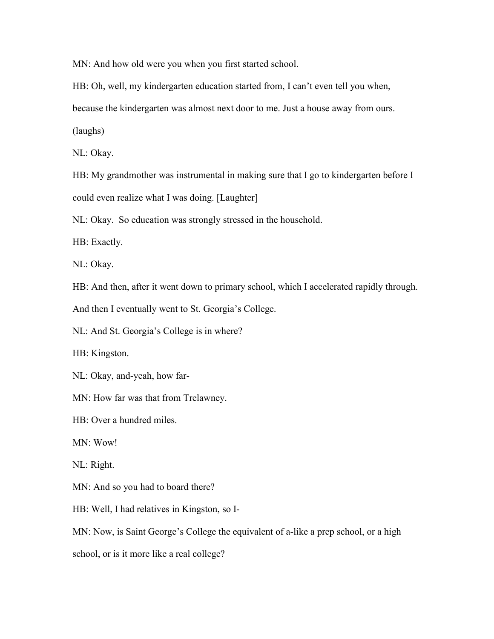MN: And how old were you when you first started school.

HB: Oh, well, my kindergarten education started from, I can't even tell you when,

because the kindergarten was almost next door to me. Just a house away from ours.

(laughs)

NL: Okay.

HB: My grandmother was instrumental in making sure that I go to kindergarten before I could even realize what I was doing. [Laughter]

NL: Okay. So education was strongly stressed in the household.

HB: Exactly.

NL: Okay.

HB: And then, after it went down to primary school, which I accelerated rapidly through.

And then I eventually went to St. Georgia's College.

NL: And St. Georgia's College is in where?

HB: Kingston.

NL: Okay, and-yeah, how far-

MN: How far was that from Trelawney.

HB: Over a hundred miles.

MN: Wow!

NL: Right.

MN: And so you had to board there?

HB: Well, I had relatives in Kingston, so I-

MN: Now, is Saint George's College the equivalent of a-like a prep school, or a high

school, or is it more like a real college?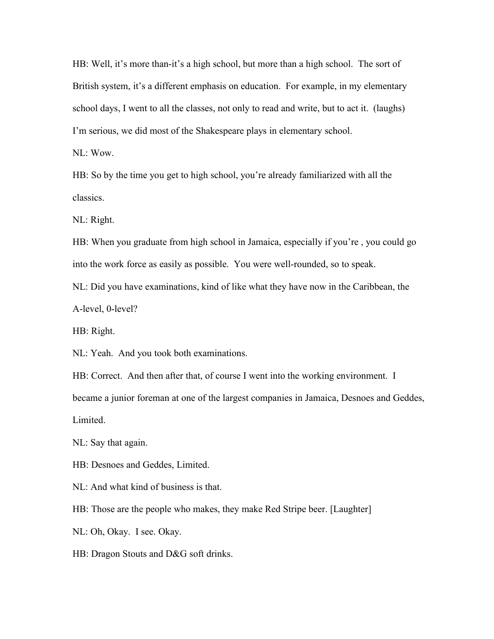HB: Well, it's more than-it's a high school, but more than a high school. The sort of British system, it's a different emphasis on education. For example, in my elementary school days, I went to all the classes, not only to read and write, but to act it. (laughs) I'm serious, we did most of the Shakespeare plays in elementary school.

NL: Wow.

HB: So by the time you get to high school, you're already familiarized with all the classics.

NL: Right.

HB: When you graduate from high school in Jamaica, especially if you're , you could go into the work force as easily as possible. You were well-rounded, so to speak.

NL: Did you have examinations, kind of like what they have now in the Caribbean, the A-level, 0-level?

HB: Right.

NL: Yeah. And you took both examinations.

HB: Correct. And then after that, of course I went into the working environment. I became a junior foreman at one of the largest companies in Jamaica, Desnoes and Geddes, Limited.

NL: Say that again.

HB: Desnoes and Geddes, Limited.

NL: And what kind of business is that.

HB: Those are the people who makes, they make Red Stripe beer. [Laughter]

NL: Oh, Okay. I see. Okay.

HB: Dragon Stouts and D&G soft drinks.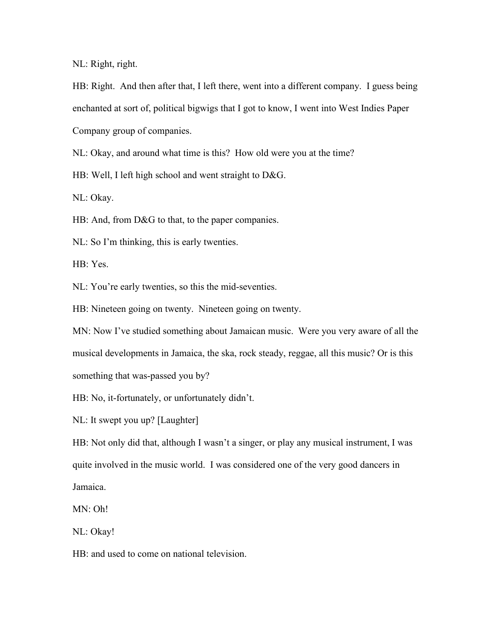NL: Right, right.

HB: Right. And then after that, I left there, went into a different company. I guess being enchanted at sort of, political bigwigs that I got to know, I went into West Indies Paper Company group of companies.

NL: Okay, and around what time is this? How old were you at the time?

HB: Well, I left high school and went straight to D&G.

NL: Okay.

HB: And, from D&G to that, to the paper companies.

NL: So I'm thinking, this is early twenties.

HB: Yes.

NL: You're early twenties, so this the mid-seventies.

HB: Nineteen going on twenty. Nineteen going on twenty.

MN: Now I've studied something about Jamaican music. Were you very aware of all the musical developments in Jamaica, the ska, rock steady, reggae, all this music? Or is this something that was-passed you by?

HB: No, it-fortunately, or unfortunately didn't.

NL: It swept you up? [Laughter]

HB: Not only did that, although I wasn't a singer, or play any musical instrument, I was quite involved in the music world. I was considered one of the very good dancers in Jamaica.

MN: Oh!

NL: Okay!

HB: and used to come on national television.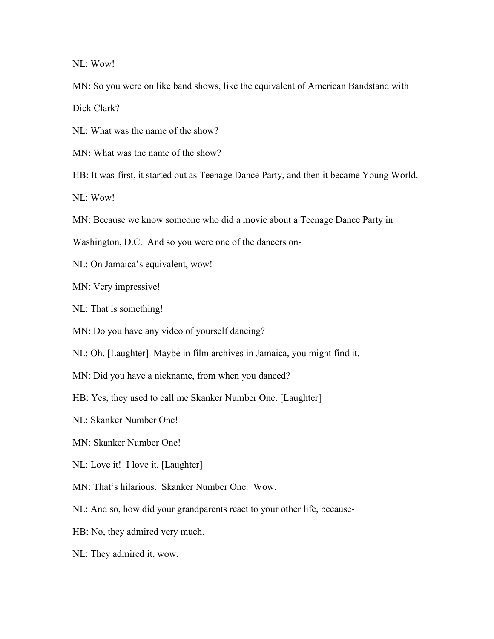NL: Wow!

MN: So you were on like band shows, like the equivalent of American Bandstand with Dick Clark?

NL: What was the name of the show?

MN: What was the name of the show?

HB: It was-first, it started out as Teenage Dance Party, and then it became Young World.

NL: Wow!

MN: Because we know someone who did a movie about a Teenage Dance Party in

Washington, D.C. And so you were one of the dancers on-

NL: On Jamaica's equivalent, wow!

MN: Very impressive!

NL: That is something!

MN: Do you have any video of yourself dancing?

NL: Oh. [Laughter] Maybe in film archives in Jamaica, you might find it.

MN: Did you have a nickname, from when you danced?

HB: Yes, they used to call me Skanker Number One. [Laughter]

NL: Skanker Number One!

MN: Skanker Number One!

NL: Love it! I love it. [Laughter]

MN: That's hilarious. Skanker Number One. Wow.

NL: And so, how did your grandparents react to your other life, because-

HB: No, they admired very much.

NL: They admired it, wow.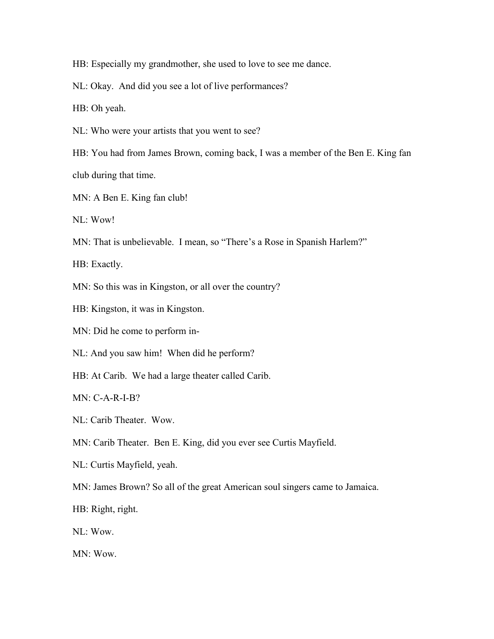HB: Especially my grandmother, she used to love to see me dance.

NL: Okay. And did you see a lot of live performances?

HB: Oh yeah.

NL: Who were your artists that you went to see?

HB: You had from James Brown, coming back, I was a member of the Ben E. King fan club during that time.

MN: A Ben E. King fan club!

NL: Wow!

MN: That is unbelievable. I mean, so "There's a Rose in Spanish Harlem?"

HB: Exactly.

MN: So this was in Kingston, or all over the country?

HB: Kingston, it was in Kingston.

MN: Did he come to perform in-

NL: And you saw him! When did he perform?

HB: At Carib. We had a large theater called Carib.

MN: C-A-R-I-B?

NL: Carib Theater. Wow.

MN: Carib Theater. Ben E. King, did you ever see Curtis Mayfield.

NL: Curtis Mayfield, yeah.

MN: James Brown? So all of the great American soul singers came to Jamaica.

HB: Right, right.

NL: Wow.

MN: Wow.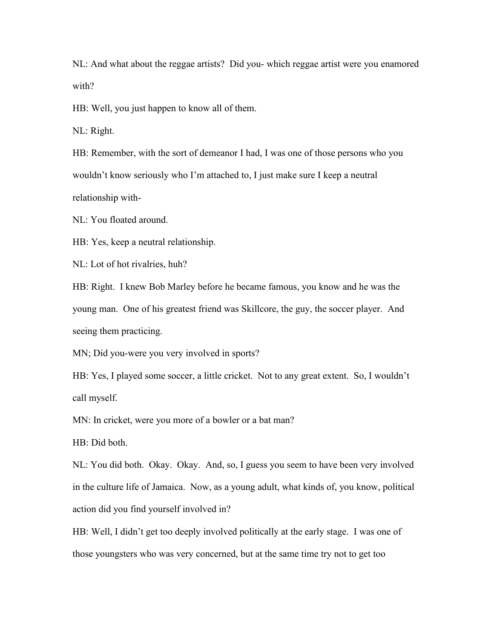NL: And what about the reggae artists? Did you- which reggae artist were you enamored with?

HB: Well, you just happen to know all of them.

NL: Right.

HB: Remember, with the sort of demeanor I had, I was one of those persons who you wouldn't know seriously who I'm attached to, I just make sure I keep a neutral relationship with-

NL: You floated around.

HB: Yes, keep a neutral relationship.

NL: Lot of hot rivalries, huh?

HB: Right. I knew Bob Marley before he became famous, you know and he was the young man. One of his greatest friend was Skillcore, the guy, the soccer player. And seeing them practicing.

MN; Did you-were you very involved in sports?

HB: Yes, I played some soccer, a little cricket. Not to any great extent. So, I wouldn't call myself.

MN: In cricket, were you more of a bowler or a bat man?

HB: Did both.

NL: You did both. Okay. Okay. And, so, I guess you seem to have been very involved in the culture life of Jamaica. Now, as a young adult, what kinds of, you know, political action did you find yourself involved in?

HB: Well, I didn't get too deeply involved politically at the early stage. I was one of those youngsters who was very concerned, but at the same time try not to get too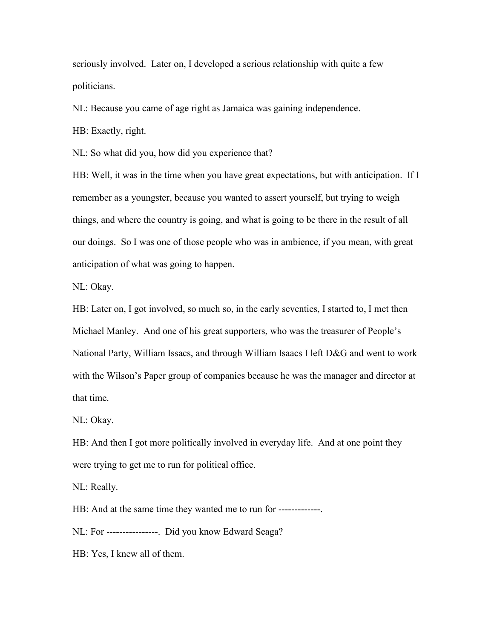seriously involved. Later on,I developed a serious relationship with quite a few politicians.

NL: Because you came of age right as Jamaica was gaining independence.

HB: Exactly, right.

NL: So what did you, how did you experience that?

HB: Well, it was in the time when you have great expectations, but with anticipation. If I remember as a youngster, because you wanted to assert yourself, but trying to weigh things, and where the country is going, and what is going to be there in the result of all our doings. So I was one of those people who was in ambience, if you mean, with great anticipation of what was going to happen.

NL: Okay.

HB: Later on, I got involved, so much so, in the early seventies, I started to, I met then Michael Manley. And one of his great supporters, who was the treasurer of People's National Party, William Issacs, and through William Isaacs I left D&G and went to work with the Wilson's Paper group of companies because he was the manager and director at that time.

NL: Okay.

HB: And then I got more politically involved in everyday life. And at one point they were trying to get me to run for political office.

NL: Really.

HB: And at the same time they wanted me to run for -------------.

NL: For ----------------. Did you know Edward Seaga?

HB: Yes, I knew all of them.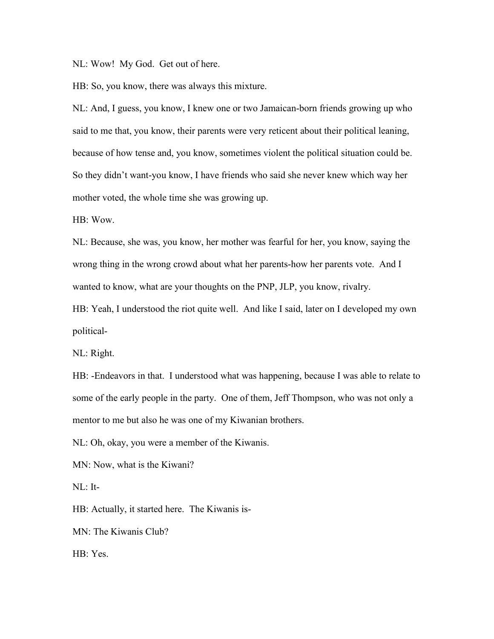NL: Wow! My God. Get out of here.

HB: So, you know, there was always this mixture.

NL: And, I guess, you know, I knew one or two Jamaican-born friends growing up who said to me that, you know, their parents were very reticent about their political leaning, because of how tense and, you know, sometimes violent the political situation could be. So they didn't want-you know, I have friends who said she never knew which way her mother voted, the whole time she was growing up.

HB: Wow.

NL: Because, she was, you know, her mother was fearful for her, you know, saying the wrong thing in the wrong crowd about what her parents-how her parents vote. And I wanted to know, what are your thoughts on the PNP, JLP, you know, rivalry.

HB: Yeah, I understood the riot quite well. And like I said, later on I developed my own political-

NL: Right.

HB: -Endeavors in that. I understood what was happening, because I was able to relate to some of the early people in the party. One of them, Jeff Thompson, who was not only a mentor to me but also he was one of my Kiwanian brothers.

NL: Oh, okay, you were a member of the Kiwanis.

MN: Now, what is the Kiwani?

NL: It-

HB: Actually, it started here. The Kiwanis is-

MN: The Kiwanis Club?

HB: Yes.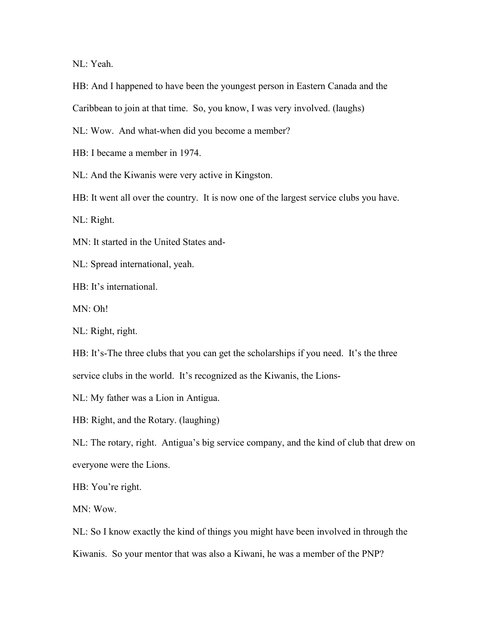NL: Yeah.

HB: And I happened to have been the youngest person in Eastern Canada and the

Caribbean to join at that time. So, you know, I was very involved. (laughs)

NL: Wow. And what-when did you become a member?

HB: I became a member in 1974.

NL: And the Kiwanis were very active in Kingston.

HB: It went all over the country. It is now one of the largest service clubs you have.

NL: Right.

MN: It started in the United States and-

NL: Spread international, yeah.

HB: It's international.

MN: Oh!

NL: Right, right.

HB: It's-The three clubs that you can get the scholarships if you need. It's the three service clubs in the world. It's recognized as the Kiwanis, the Lions-

NL: My father was a Lion in Antigua.

HB: Right, and the Rotary. (laughing)

NL: The rotary, right. Antigua's big service company, and the kind of club that drew on everyone were the Lions.

HB: You're right.

MN: Wow.

NL: So I know exactly the kind of things you might have been involved in through the Kiwanis. So your mentor that was also a Kiwani, he was a member of the PNP?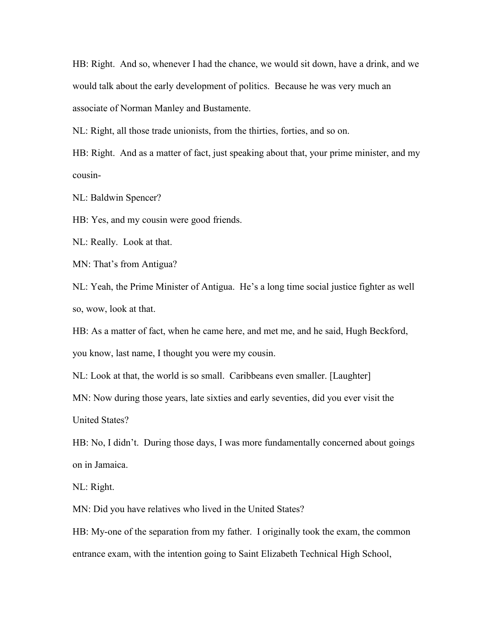HB: Right. And so, whenever I had the chance,we would sit down, have a drink, and we would talk about the early development of politics. Because he was very much an associate of Norman Manley and Bustamente.

NL: Right, all those trade unionists, from the thirties, forties, and so on.

HB: Right. And as a matter of fact, just speaking about that, your prime minister, and my cousin-

NL: Baldwin Spencer?

HB: Yes, and my cousin were good friends.

NL: Really. Look at that.

MN: That's from Antigua?

NL: Yeah, the Prime Minister of Antigua. He's a long time social justice fighter as well so, wow, look at that.

HB: As a matter of fact, when he came here, and met me, and he said, Hugh Beckford,

you know, last name, I thought you were my cousin.

NL: Look at that, the world is so small. Caribbeans even smaller. [Laughter]

MN: Now during those years, late sixties and early seventies, did you ever visit the

United States?

HB: No, I didn't. During those days, I was more fundamentally concerned about goings on in Jamaica.

NL: Right.

MN: Did you have relatives who lived in the United States?

HB: My-one of the separation from my father. I originally took the exam, the common entrance exam, with the intention going to Saint Elizabeth Technical High School,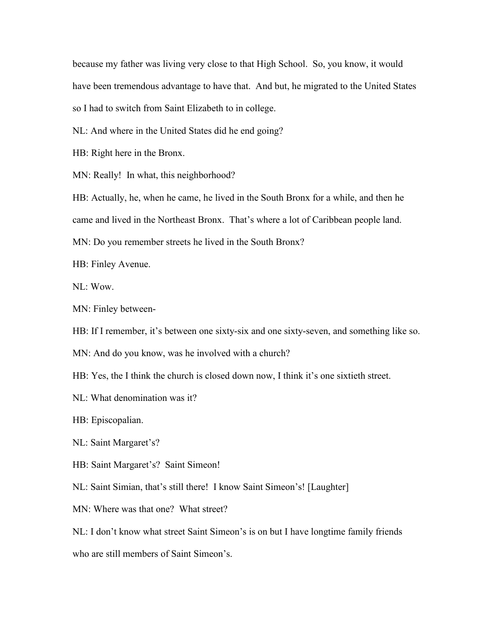because my father was living very close to that High School. So, you know, it would have been tremendous advantage to have that. And but, he migrated to the United States so I had to switch from Saint Elizabeth to in college.

NL: And where in the United States did he end going?

HB: Right here in the Bronx.

MN: Really! In what, this neighborhood?

HB: Actually, he, when he came, he lived in the South Bronx for a while, and then he came and lived in the Northeast Bronx. That's where a lot of Caribbean people land.

MN: Do you remember streets he lived in the South Bronx?

HB: Finley Avenue.

NL: Wow.

MN: Finley between-

HB: If I remember, it's between one sixty-six and one sixty-seven, and something like so.

MN: And do you know, was he involved with a church?

HB: Yes, the I think the church is closed down now, I think it's one sixtieth street.

NL: What denomination was it?

HB: Episcopalian.

NL: Saint Margaret's?

HB: Saint Margaret's? Saint Simeon!

NL: Saint Simian, that's still there! I know Saint Simeon's! [Laughter]

MN: Where was that one? What street?

NL: I don't know what street Saint Simeon's is on but I have longtime family friends who are still members of Saint Simeon's.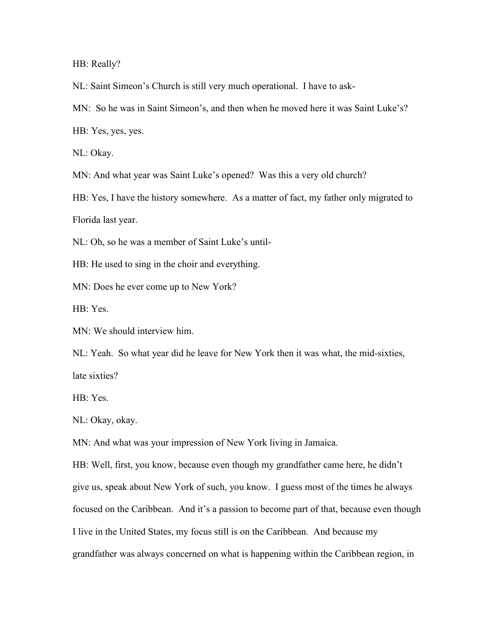HB: Really?

NL: Saint Simeon's Church is still very much operational. I have to ask-

MN: So he was in Saint Simeon's, and then when he moved here it was Saint Luke's?

HB: Yes, yes, yes.

NL: Okay.

MN: And what year was Saint Luke's opened? Was this a very old church?

HB: Yes, I have the history somewhere. As a matter of fact, my father only migrated to Florida last year.

NL: Oh, so he was a member of Saint Luke's until-

HB: He used to sing in the choir and everything.

MN: Does he ever come up to New York?

HB: Yes.

MN: We should interview him.

NL: Yeah. So what year did he leave for New York then it was what, the mid-sixties, late sixties?

HB: Yes.

NL: Okay, okay.

MN: And what was your impression of New York living in Jamaica.

HB: Well, first, you know, because even though my grandfather came here, he didn't give us, speak about New York of such, you know. I guess most of the times he always focused on the Caribbean. And it's a passion to become part of that, because even though I live in the United States, my focus still is on the Caribbean. And because my grandfather was always concerned on what is happening within the Caribbean region, in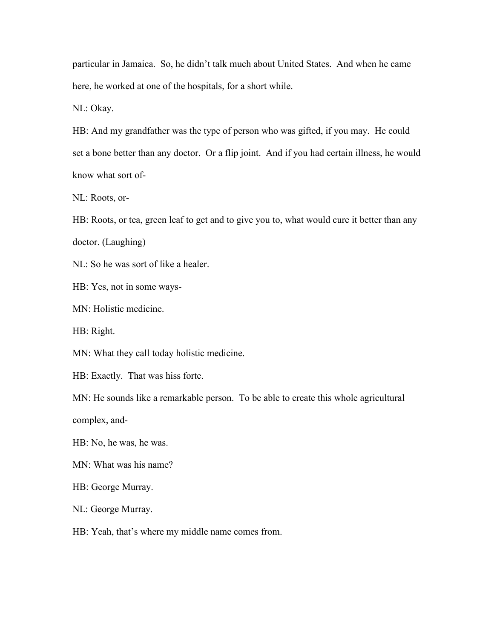particular in Jamaica. So, he didn't talk much about United States. And when he came here, he worked at one of the hospitals, for a short while.

NL: Okay.

HB: And my grandfather was the type of person who was gifted, if you may. He could set a bone better than any doctor. Or a flip joint. And if you had certain illness, he would know what sort of-

NL: Roots, or-

HB: Roots, or tea, green leaf to get and to give you to, what would cure it better than any doctor. (Laughing)

NL: So he was sort of like a healer.

HB: Yes, not in some ways-

MN: Holistic medicine.

HB: Right.

MN: What they call today holistic medicine.

HB: Exactly. That was hiss forte.

MN: He sounds like a remarkable person. To be able to create this whole agricultural

complex, and-

HB: No, he was, he was.

MN: What was his name?

HB: George Murray.

NL: George Murray.

HB: Yeah, that's where my middle name comes from.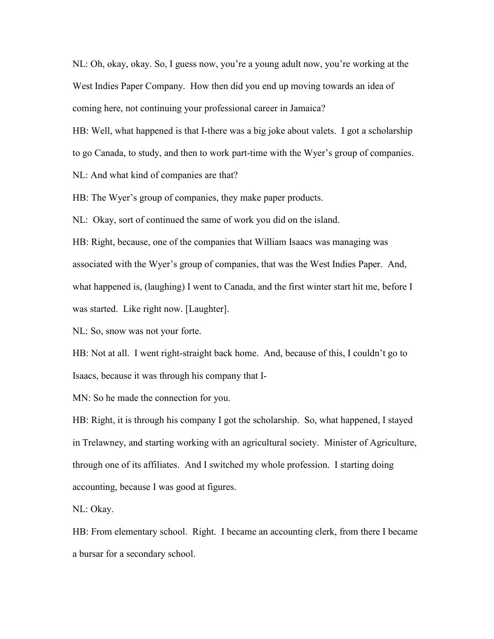NL: Oh, okay, okay. So, I guess now, you're a young adult now, you're working at the West Indies Paper Company. How then did you end up moving towards an idea of coming here, not continuing your professional career in Jamaica?

HB: Well, what happened is that I-there was a big joke about valets. I got a scholarship

to go Canada, to study, and then to work part-time with the Wyer's group of companies.

NL: And what kind of companies are that?

HB: The Wyer's group of companies, they make paper products.

NL: Okay, sort of continued the same of work you did on the island.

HB: Right, because, one of the companies that William Isaacs was managing was associated with the Wyer's group of companies, that was the West Indies Paper. And, what happened is, (laughing) I went to Canada, and the first winter start hit me, before I was started. Like right now. [Laughter].

NL: So, snow was not your forte.

HB: Not at all. I went right-straight back home. And, because of this, I couldn't go to Isaacs, because it was through his company that I-

MN: So he made the connection for you.

HB: Right, it is through his company I got the scholarship. So, what happened, I stayed in Trelawney, and starting working with an agricultural society. Minister of Agriculture, through one of its affiliates. And I switched my whole profession. I starting doing accounting, because I was good at figures.

NL: Okay.

HB: From elementary school. Right. I became an accounting clerk, from there I became a bursar for a secondary school.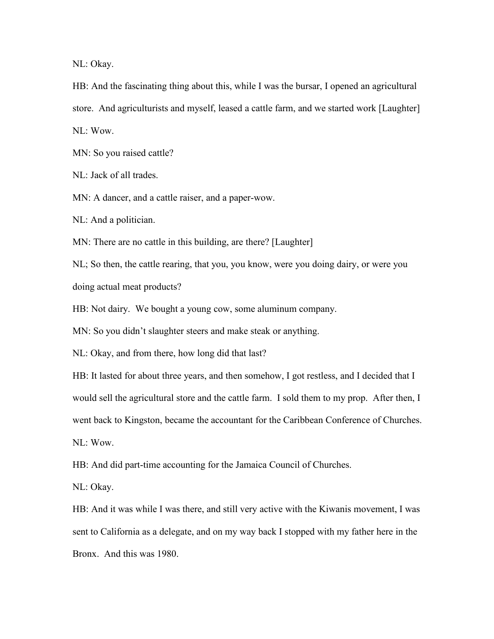NL: Okay.

HB: And the fascinating thing about this, while I was the bursar, I opened an agricultural store. And agriculturists and myself, leased a cattle farm, and we started work [Laughter] NL: Wow.

MN: So you raised cattle?

NL: Jack of all trades.

MN: A dancer, and a cattle raiser, and a paper-wow.

NL: And a politician.

MN: There are no cattle in this building, are there? [Laughter]

NL; So then, the cattle rearing, that you, you know, were you doing dairy, or were you doing actual meat products?

HB: Not dairy. We bought a young cow, some aluminum company.

MN: So you didn't slaughter steers and make steak or anything.

NL: Okay, and from there, how long did that last?

HB: It lasted for about three years, and then somehow, I got restless, and I decided that I would sell the agricultural store and the cattle farm. I sold them to my prop. After then, I went back to Kingston, became the accountant for the Caribbean Conference of Churches. NL: Wow.

HB: And did part-time accounting for the Jamaica Council of Churches.

NL: Okay.

HB: And it was while I was there, and still very active with the Kiwanis movement, I was sent to California as a delegate, and on my way back I stopped with my father here in the Bronx. And this was 1980.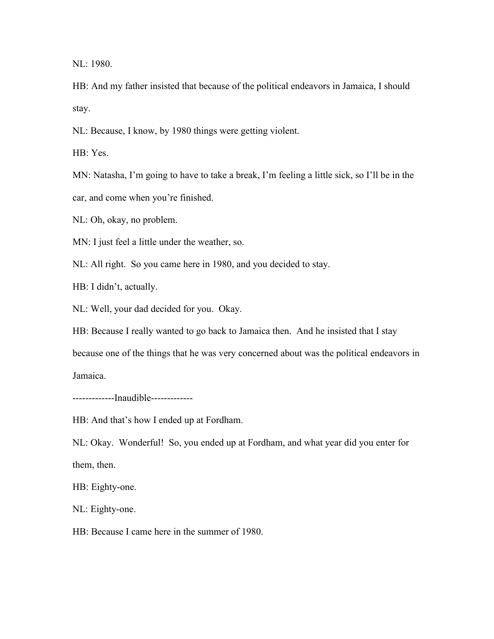NL: 1980.

HB: And my father insisted that because of the political endeavors in Jamaica, I should stay.

NL: Because, I know, by 1980 things were getting violent.

HB: Yes.

MN: Natasha, I'm going to have to take a break, I'm feeling a little sick, so I'll be in the car, and come when you're finished.

NL: Oh, okay, no problem.

MN: I just feel a little under the weather, so.

NL: All right. So you came here in 1980, and you decided to stay.

HB: I didn't, actually.

NL: Well, your dad decided for you. Okay.

HB: Because I really wanted to go back to Jamaica then. And he insisted that I stay because one of the things that he was very concerned about was the political endeavors in Jamaica.

-------------Inaudible-------------

HB: And that's how I ended up at Fordham.

NL: Okay. Wonderful! So, you ended up at Fordham, and what year did you enter for them, then.

HB: Eighty-one.

NL: Eighty-one.

HB: Because I came here in the summer of 1980.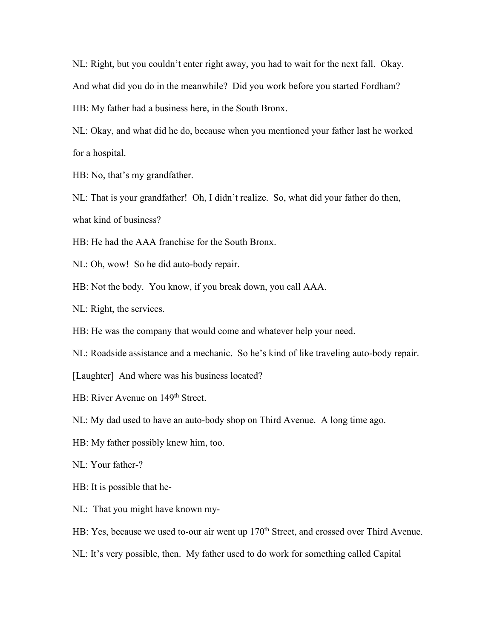NL: Right, but you couldn't enter right away, you had to wait for the next fall. Okay. And what did you do in the meanwhile? Did you work before you started Fordham? HB: My father had a business here, in the South Bronx.

NL: Okay, and what did he do, because when you mentioned your father last he worked for a hospital.

HB: No, that's my grandfather.

NL: That is your grandfather! Oh, I didn't realize. So, what did your father do then, what kind of business?

HB: He had the AAA franchise for the South Bronx.

- NL: Oh, wow! So he did auto-body repair.
- HB: Not the body. You know, if you break down, you call AAA.
- NL: Right, the services.
- HB: He was the company that would come and whatever help your need.
- NL: Roadside assistance and a mechanic. So he's kind of like traveling auto-body repair.
- [Laughter] And where was his business located?
- HB: River Avenue on 149<sup>th</sup> Street.
- NL: My dad used to have an auto-body shop on Third Avenue. A long time ago.
- HB: My father possibly knew him, too.
- NL: Your father-?
- HB: It is possible that he-
- NL: That you might have known my-
- HB: Yes, because we used to-our air went up 170<sup>th</sup> Street, and crossed over Third Avenue.
- NL: It's very possible, then. My father used to do work for something called Capital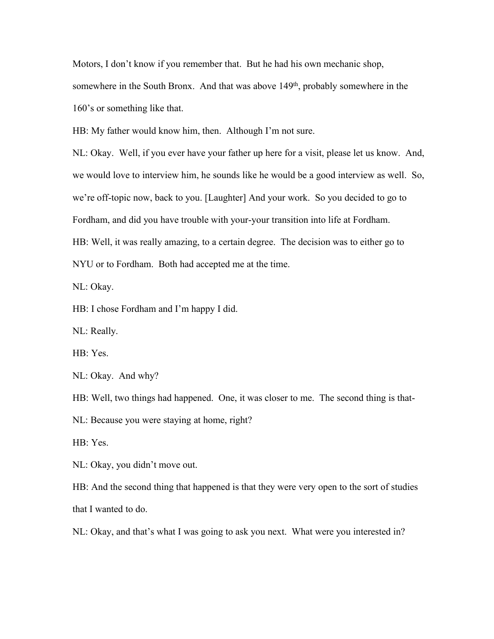Motors, I don't know if you remember that. But he had his own mechanic shop, somewhere in the South Bronx. And that was above 149<sup>th</sup>, probably somewhere in the 160's or something like that.

HB: My father would know him, then. Although I'm not sure.

NL: Okay. Well, if you ever have your father up here for a visit, please let us know. And, we would love to interview him, he sounds like he would be a good interview as well. So, we're off-topic now, back to you. [Laughter] And your work. So you decided to go to Fordham, and did you have trouble with your-your transition into life at Fordham. HB: Well, it was really amazing, to a certain degree. The decision was to either go to

NYU or to Fordham. Both had accepted me at the time.

NL: Okay.

HB: I chose Fordham and I'm happy I did.

NL: Really.

HB: Yes.

NL: Okay. And why?

HB: Well, two things had happened. One, it was closer to me. The second thing is that-

NL: Because you were staying at home, right?

HB: Yes.

NL: Okay, you didn't move out.

HB: And the second thing that happened is that they were very open to the sort of studies that I wanted to do.

NL: Okay, and that's what I was going to ask you next. What were you interested in?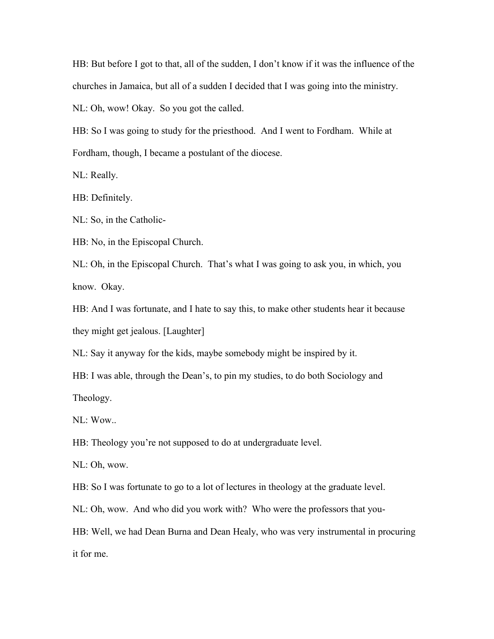HB: But before I got to that, all of the sudden, I don't know if it was the influence of the churches in Jamaica, but all of a sudden I decided that I was going into the ministry.

NL: Oh, wow! Okay. So you got the called.

HB: So I was going to study for the priesthood. And I went to Fordham. While at Fordham, though, I became a postulant of the diocese.

NL: Really.

HB: Definitely.

NL: So, in the Catholic-

HB: No, in the Episcopal Church.

NL: Oh, in the Episcopal Church. That's what I was going to ask you, in which, you know. Okay.

HB: And I was fortunate, and I hate to say this, to make other students hear it because they might get jealous. [Laughter]

NL: Say it anyway for the kids, maybe somebody might be inspired by it.

HB: I was able, through the Dean's, to pin my studies, to do both Sociology and Theology.

NL: Wow..

HB: Theology you're not supposed to do at undergraduate level.

NL: Oh, wow.

HB: So I was fortunate to go to a lot of lectures in theology at the graduate level.

NL: Oh, wow. And who did you work with? Who were the professors that you-

HB: Well, we had Dean Burna and Dean Healy, who was very instrumental in procuring it for me.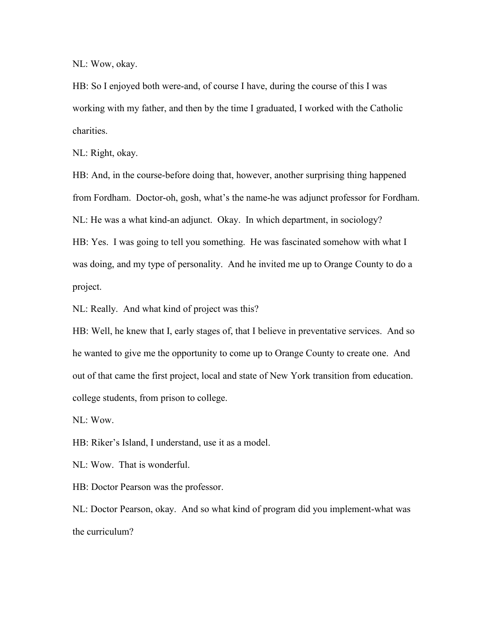NL: Wow, okay.

HB: So I enjoyed both were-and, of course I have, during the course of this I was working with my father, and then by the time I graduated, I worked with the Catholic charities.

NL: Right, okay.

HB: And, in the course-before doing that, however, another surprising thing happened from Fordham. Doctor-oh, gosh, what's the name-he was adjunct professor for Fordham. NL: He was a what kind-an adjunct. Okay. In which department, in sociology? HB: Yes. I was going to tell you something. He was fascinated somehow with what I was doing, and my type of personality. And he invited me up to Orange County to do a project.

NL: Really. And what kind of project was this?

HB: Well, he knew that I, early stages of, that I believe in preventative services. And so he wanted to give me the opportunity to come up to Orange County to create one. And out of that came the first project, local and state of New York transition from education. college students, from prison to college.

NL: Wow.

HB: Riker's Island, I understand, use it as a model.

NL: Wow. That is wonderful.

HB: Doctor Pearson was the professor.

NL: Doctor Pearson, okay. And so what kind of program did you implement-what was the curriculum?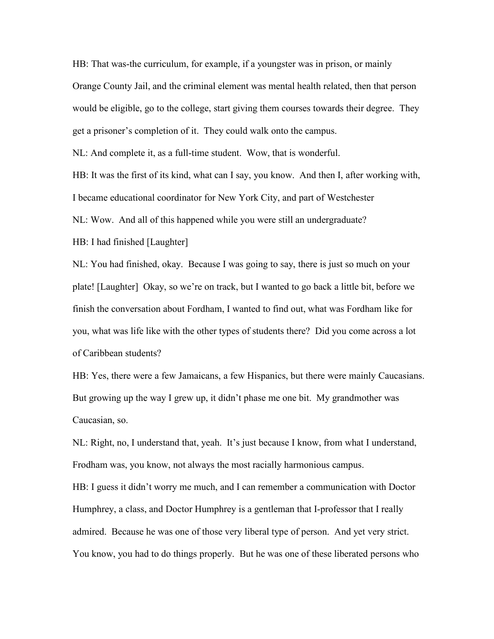HB: That was-the curriculum, for example, if a youngster was in prison, or mainly Orange County Jail, and the criminal element was mental health related, then that person would be eligible, go to the college, start giving them courses towards their degree. They get a prisoner's completion of it. They could walk onto the campus.

NL: And complete it, as a full-time student. Wow, that is wonderful.

HB: It was the first of its kind, what can I say, you know. And then I, after working with, I became educational coordinator for New York City, and part of Westchester

NL: Wow. And all of this happened while you were still an undergraduate?

HB: I had finished [Laughter]

NL: You had finished, okay. Because I was going to say, there is just so much on your plate! [Laughter] Okay, so we're on track, but I wanted to go back a little bit,before we finish the conversation about Fordham, I wanted to find out, what was Fordham like for you, what was life like with the other types of students there? Did you come across a lot of Caribbean students?

HB: Yes, there were a few Jamaicans, a few Hispanics, but there were mainly Caucasians. But growing up the way I grew up, it didn't phase me one bit. My grandmother was Caucasian, so.

NL: Right, no, I understand that, yeah. It's just because I know, from what I understand, Frodham was, you know, not always the most racially harmonious campus.

HB: I guess it didn't worry me much, and I can remember a communication with Doctor Humphrey, a class, and Doctor Humphrey is a gentleman that I-professor that I really admired. Because he was one of those very liberal type of person. And yet very strict. You know, you had to do things properly. But he was one of these liberated persons who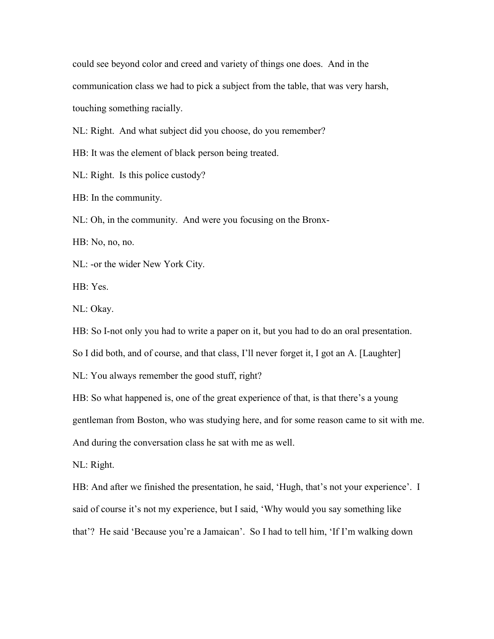could see beyond color and creed and variety of things one does. And in the communication class we had to pick a subject from the table, that was very harsh, touching something racially.

NL: Right. And what subject did you choose, do you remember?

HB: It was the element of black person being treated.

NL: Right. Is this police custody?

HB: In the community.

NL: Oh, in the community. And were you focusing on the Bronx-

HB: No, no, no.

NL: -or the wider New York City.

HB: Yes.

NL: Okay.

HB: So I-not only you had to write a paper on it, but you had to do an oral presentation.

So I did both, and of course, and that class, I'll never forget it, I got an A. [Laughter]

NL: You always remember the good stuff, right?

HB: So what happened is, one of the great experience of that, is that there's a young gentleman from Boston, who was studying here, and for some reason came to sit with me. And during the conversation class he sat with me as well.

NL: Right.

HB: And after we finished the presentation, he said, 'Hugh, that's not your experience'. I said of course it's not my experience, but I said, 'Why would you say something like that'? He said 'Because you're a Jamaican'. So I had to tell him, 'If I'm walking down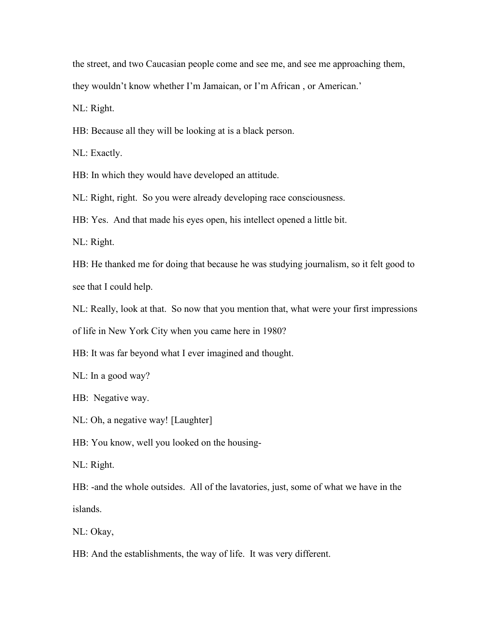the street, and two Caucasian people come and see me, and see me approaching them,

they wouldn't know whether I'm Jamaican, or I'm African , or American.'

NL: Right.

HB: Because all they will be looking at is a black person.

NL: Exactly.

HB: In which they would have developed an attitude.

NL: Right, right. So you were already developing race consciousness.

HB: Yes. And that made his eyes open, his intellect opened a little bit.

NL: Right.

HB: He thanked me for doing that because he was studying journalism, so it felt good to see that I could help.

NL: Really, look at that. So now that you mention that, what were your first impressions

of life in New York City when you came here in 1980?

HB: It was far beyond what I ever imagined and thought.

NL: In a good way?

HB: Negative way.

NL: Oh, a negative way! [Laughter]

HB: You know, well you looked on the housing-

NL: Right.

HB: -and the whole outsides. All of the lavatories, just, some of what we have in the islands.

NL: Okay,

HB: And the establishments, the way of life. It was very different.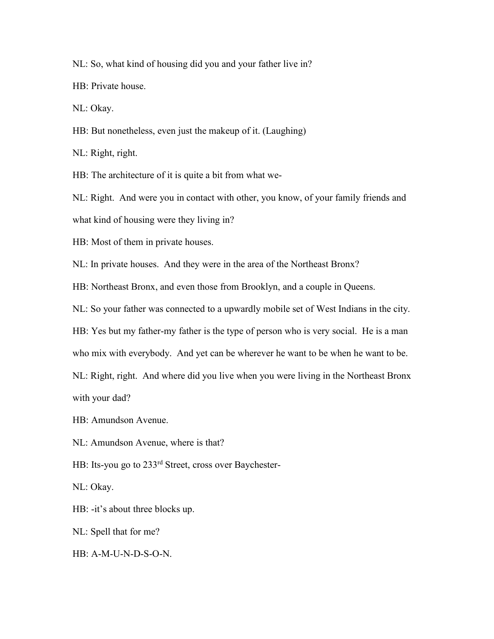NL: So, what kind of housing did you and your father live in?

HB: Private house.

NL: Okay.

HB: But nonetheless, even just the makeup of it. (Laughing)

NL: Right, right.

HB: The architecture of it is quite a bit from what we-

NL: Right. And were you in contact with other, you know, of your family friends and what kind of housing were they living in?

HB: Most of them in private houses.

NL: In private houses. And they were in the area of the Northeast Bronx?

HB: Northeast Bronx, and even those from Brooklyn, and a couple in Queens.

NL: So your father was connected to a upwardly mobile set of West Indians in the city.

HB: Yes but my father-my father is the type of person who is very social. He is a man

who mix with everybody. And yet can be wherever he want to be when he want to be.

NL: Right, right. And where did you live when you were living in the Northeast Bronx

with your dad?

HB: Amundson Avenue.

NL: Amundson Avenue, where is that?

HB: Its-you go to 233rd Street, cross over Baychester-

NL: Okay.

HB: -it's about three blocks up.

NL: Spell that for me?

HB: A-M-U-N-D-S-O-N.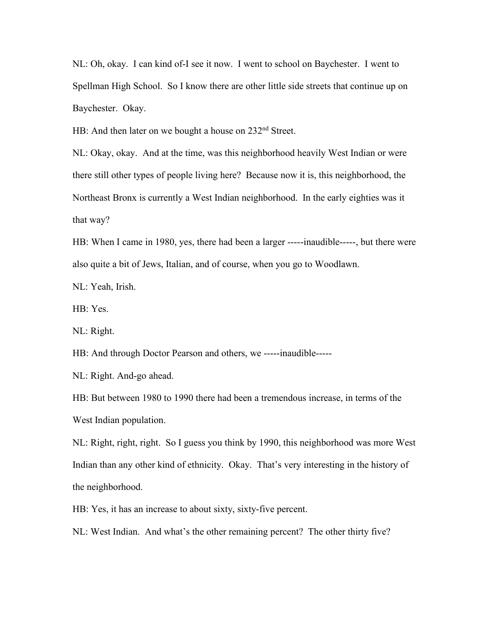NL: Oh, okay. I can kind of-I see it now. I went to school on Baychester. I went to Spellman High School. So I know there are other little side streets that continue up on Baychester. Okay.

HB: And then later on we bought a house on 232<sup>nd</sup> Street.

NL: Okay, okay. And at the time, was this neighborhood heavily West Indian or were there still other types of people living here? Because now it is, this neighborhood, the Northeast Bronx is currently a West Indian neighborhood. In the early eighties was it that way?

HB: When I came in 1980, yes, there had been a larger -----inaudible-----, but there were also quite a bitof Jews, Italian, and of course, when you go to Woodlawn.

NL: Yeah, Irish.

HB: Yes.

NL: Right.

HB: And through Doctor Pearson and others, we -----inaudible-----

NL: Right. And-go ahead.

HB: But between 1980 to 1990 there had been a tremendous increase, in terms of the West Indian population.

NL: Right, right, right. So I guess you think by 1990, this neighborhood was more West Indian than any other kind of ethnicity. Okay. That's very interesting in the history of the neighborhood.

HB: Yes, it has an increase to about sixty, sixty-five percent.

NL: West Indian. And what's the other remaining percent? The other thirty five?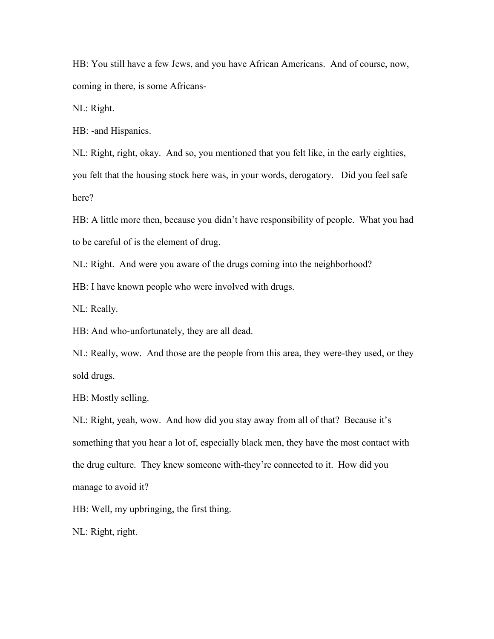HB: You still have a few Jews, and you have African Americans. And of course, now, coming in there, is some Africans-

NL: Right.

HB: -and Hispanics.

NL: Right, right, okay. And so, you mentioned that you felt like, in the early eighties,

you felt that the housing stock here was, in your words, derogatory. Did you feel safe here?

HB: A little more then, because you didn't have responsibility of people. What you had to be careful of is the element of drug.

NL: Right. And were you aware of the drugs coming into the neighborhood?

HB: I have known people who were involved with drugs.

NL: Really.

HB: And who-unfortunately, they are all dead.

NL: Really, wow. And those are the people from this area, they were-they used, or they sold drugs.

HB: Mostly selling.

NL: Right, yeah, wow. And how did you stay away from all of that? Because it's something that you hear a lot of, especially black men, they have the most contact with the drug culture. They knew someone with-they're connected to it. How did you manage to avoid it?

HB: Well, my upbringing, the first thing.

NL: Right, right.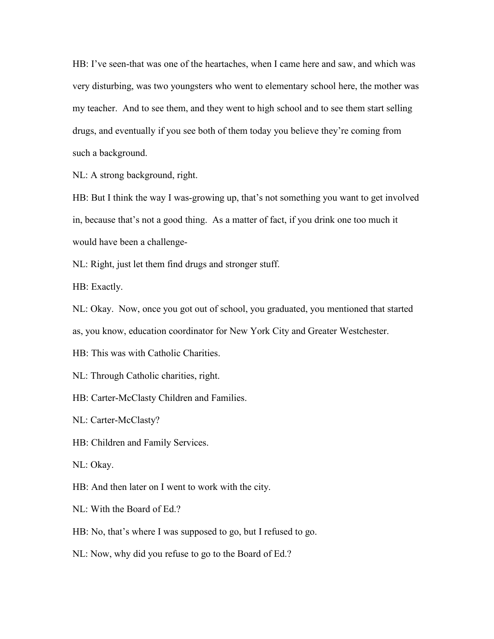HB: I've seen-that was one of the heartaches, when I came here and saw, and which was very disturbing, was two youngsters who went to elementary school here, the mother was my teacher. And to see them, and they went to high school and to see them start selling drugs, and eventually if you see both of them today you believe they're coming from such a background.

NL: A strong background, right.

HB: But I think the way I was-growing up, that's not something you want to get involved in, because that's not a good thing. As a matter of fact, if you drink one too much it would have been a challenge-

NL: Right, just let them find drugs and stronger stuff.

HB: Exactly.

NL: Okay. Now, once you got out of school, you graduated, you mentioned that started as, you know, education coordinator for New York City and Greater Westchester.

HB: This was with Catholic Charities.

NL: Through Catholic charities, right.

HB: Carter-McClasty Children and Families.

NL: Carter-McClasty?

HB: Children and Family Services.

NL: Okay.

HB: And then later on I went to work with the city.

NL: With the Board of Ed.?

HB: No, that's where I was supposed to go, but I refused to go.

NL: Now, why did you refuse to go to the Board of Ed.?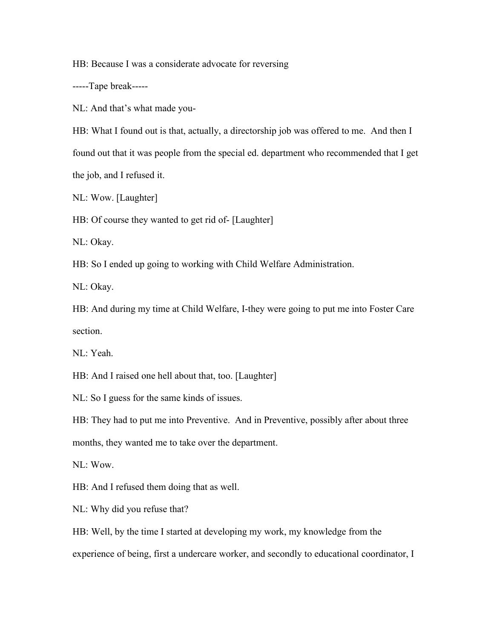HB: Because I was a considerate advocate for reversing

-----Tape break-----

NL: And that's what made you-

HB: What I found out is that, actually, a directorship job was offered to me. And then I

found out that it was people from the special ed. department who recommended that I get

the job, and I refused it.

NL: Wow. [Laughter]

HB: Of course they wanted to get rid of- [Laughter]

NL: Okay.

HB: So I ended up going to working with Child Welfare Administration.

NL: Okay.

HB: And during my time at Child Welfare, I-they were going to put me into Foster Care section.

NL: Yeah.

HB: And I raised one hell about that, too. [Laughter]

NL: So I guess for the same kinds of issues.

HB: They had to put me into Preventive. And in Preventive, possibly after about three months, they wanted me to take over the department.

NL: Wow.

HB: And I refused them doing that as well.

NL: Why did you refuse that?

HB: Well, by the time I started at developing my work, my knowledge from the experience of being, first a undercare worker, and secondly to educational coordinator, I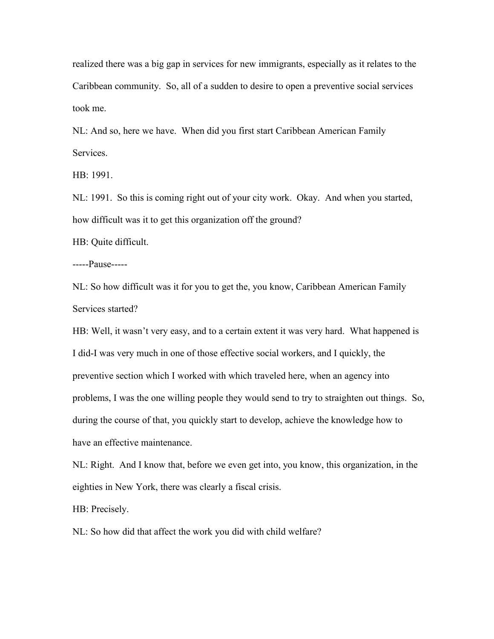realized there was a big gap in services for new immigrants, especially as it relates to the Caribbean community. So, all of a sudden to desire to open a preventive social services took me.

NL: And so, here we have. When did you first start Caribbean American Family Services.

HB: 1991.

NL: 1991. So this is coming right out of your city work. Okay. And when you started, how difficult was it to get this organization off the ground?

HB: Quite difficult.

-----Pause-----

NL: So how difficult was it for you to get the, you know, Caribbean American Family Services started?

HB: Well, it wasn't very easy, and to a certain extent it was very hard. What happened is I did-I was very much in one of those effective social workers, and I quickly, the preventive section which I worked with which traveled here, when an agency into problems, I was the one willing people they would send to try to straighten out things. So, during the course of that, you quickly start to develop, achieve the knowledge how to have an effective maintenance.

NL: Right. And I know that, before we even get into, you know, this organization, in the eighties in New York, there was clearly a fiscal crisis.

HB: Precisely.

NL: So how did that affect the work you did with child welfare?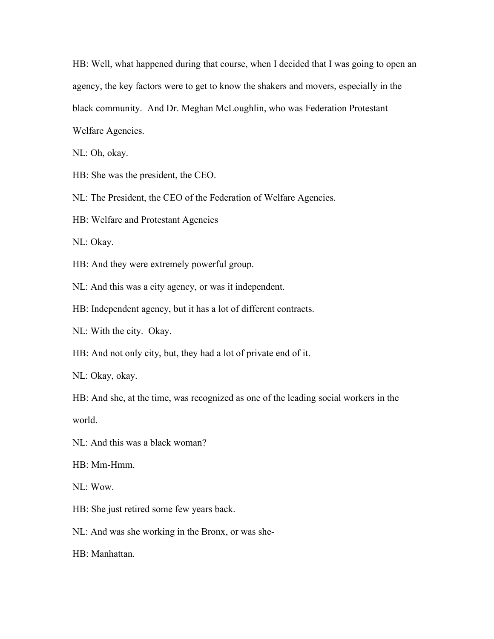HB: Well, what happened during that course, when I decided that I was going to open an agency, the key factors were to get to know the shakers and movers, especially in the black community. And Dr. Meghan McLoughlin, who was Federation Protestant Welfare Agencies.

NL: Oh, okay.

HB: She was the president, the CEO.

NL: The President, the CEO of the Federation of Welfare Agencies.

HB: Welfare and Protestant Agencies

NL: Okay.

HB: And they were extremely powerful group.

NL: And this was a city agency, or was it independent.

HB: Independent agency, but it has a lot of different contracts.

NL: With the city. Okay.

HB: And not only city, but, they had a lot of private end of it.

NL: Okay, okay.

HB: And she, at the time, was recognized as one of the leading social workers in the world.

NL: And this was a black woman?

HB: Mm-Hmm.

NL: Wow.

HB: She just retired some few years back.

NL: And was she working in the Bronx, or was she-

HB: Manhattan.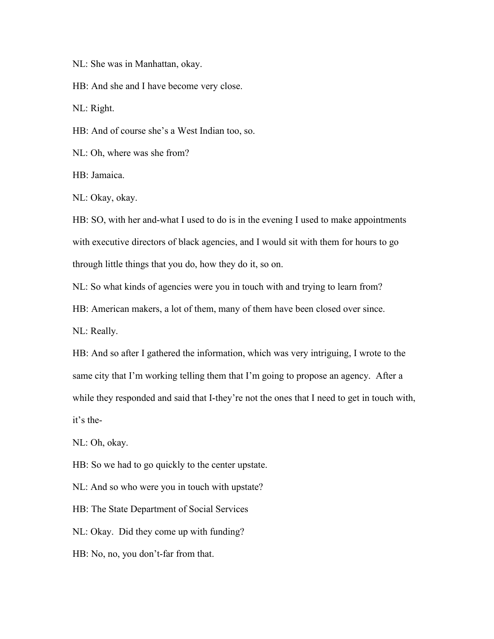NL: She was in Manhattan, okay.

HB: And she and I have become very close.

NL: Right.

HB: And of course she's a West Indian too, so.

NL: Oh, where was she from?

HB: Jamaica.

NL: Okay, okay.

HB: SO, with her and-what I used to do is in the evening I used to make appointments with executive directors of black agencies, and I would sit with them for hours to go through little things that you do, how they do it, so on.

NL: So what kinds of agencies were you in touch with and trying to learn from?

HB: American makers, a lot of them, many of them have been closed over since.

NL: Really.

HB: And so after I gathered the information, which was very intriguing, I wrote to the same city that I'm working telling them that I'm going to propose an agency. After a while they responded and said that I-they're not the ones that I need to get in touch with, it's the-

NL: Oh, okay.

HB: So we had to go quickly to the center upstate.

NL: And so who were you in touch with upstate?

HB: The State Department of Social Services

NL: Okay. Did they come up with funding?

HB: No, no, you don't-far from that.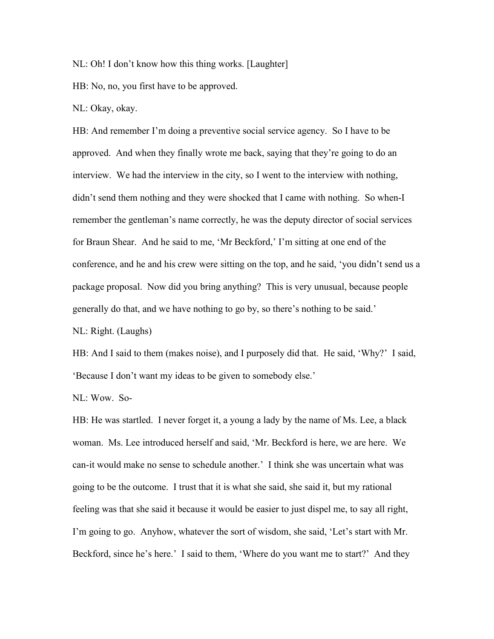NL: Oh! I don't know how this thing works. [Laughter]

HB: No, no, you first have to be approved.

NL: Okay, okay.

HB: And remember I'm doing a preventive social service agency. So I have to be approved. And when they finally wrote me back, saying that they're going to do an interview. We had the interview in the city, so I went to the interview with nothing, didn't send them nothing and they were shocked that I came with nothing. So when-I remember the gentleman's name correctly, he was the deputy director of social services for Braun Shear. And he said to me, 'Mr Beckford,' I'm sitting at one end of the conference, and he and his crew were sitting on the top, and he said, 'you didn't send us a package proposal. Now did you bring anything? This is very unusual, because people generally do that, and we have nothing to go by, so there's nothing to be said.'

NL: Right. (Laughs)

HB: And I said to them (makes noise), and I purposely did that. He said, 'Why?' I said, 'Because I don't want my ideas to be given to somebody else.'

NL: Wow. So-

HB: He was startled. I never forget it, a young a lady by the name of Ms. Lee, a black woman. Ms. Lee introduced herself and said, 'Mr. Beckford is here, we are here. We can-it would make no sense to schedule another.' I think she was uncertain what was going to be the outcome. I trust that it is what she said, she said it, but my rational feeling was that she said it because it would be easier to just dispel me, to say all right, I'm going to go. Anyhow, whatever the sort of wisdom, she said, 'Let's start with Mr. Beckford, since he's here.' I said to them, 'Where do you want me to start?' And they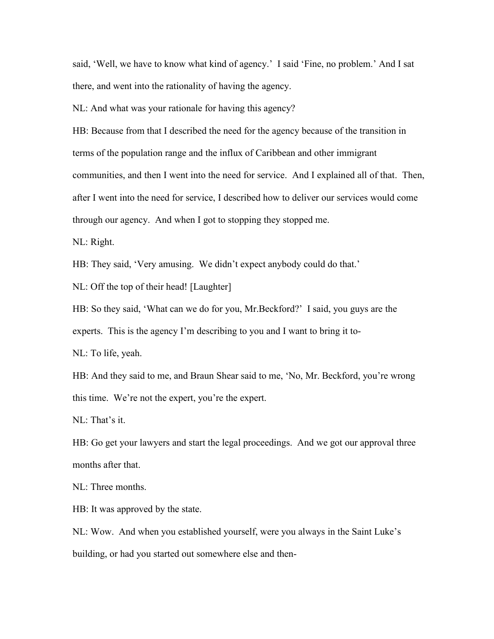said, 'Well, we have to know what kind of agency.' I said 'Fine, no problem.' And I sat there, and went into the rationality of having the agency.

NL: And what was your rationale for having this agency?

HB: Because from that I described the need for the agency because of the transition in terms of the population range and the influx of Caribbean and other immigrant communities, and then I went into the need for service. And I explained all of that. Then, after I went into the need for service, I described how to deliver our services would come through our agency. And when I got to stopping they stopped me.

NL: Right.

HB: They said, 'Very amusing. We didn't expect anybody could do that.'

NL: Off the top of their head! [Laughter]

HB: So they said, 'What can we do for you, Mr. Beckford?' I said, you guys are the

experts. This is the agency I'm describing to you and I want to bring it to-

NL: To life, yeah.

HB: And they said to me, and Braun Shear said to me, 'No, Mr. Beckford, you're wrong this time. We're not the expert, you're the expert.

NL: That's it.

HB: Go get your lawyers and start the legal proceedings. And we got our approval three months after that.

NL: Three months.

HB: It was approved by the state.

NL: Wow. And when you established yourself, were you always in the Saint Luke's building, or had you started out somewhere else and then-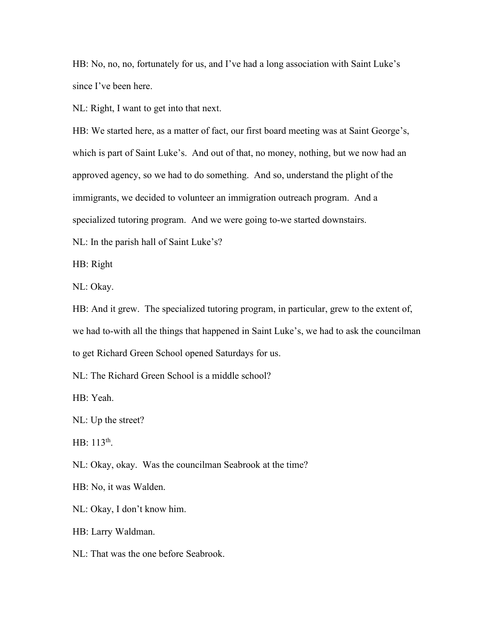HB: No, no, no, fortunately for us, and I've had a long association with Saint Luke's since I've been here.

NL: Right, I want to get into that next.

HB: We started here, as a matter of fact, our first board meeting was at Saint George's, which is part of Saint Luke's. And out of that, no money, nothing, but we now had an approved agency, so we had to do something. And so, understand the plight of the immigrants, we decided to volunteer an immigration outreach program. And a specialized tutoring program. And we were going to-we started downstairs.

NL: In the parish hall of Saint Luke's?

HB: Right

NL: Okay.

HB: And it grew. The specialized tutoring program, in particular, grew to the extent of, we had to-with all the things that happened in Saint Luke's, we had to ask the councilman to get Richard Green School opened Saturdays for us.

NL: The Richard Green School is a middle school?

HB: Yeah.

NL: Up the street?

HB:  $113^{th}$ . .

NL: Okay, okay. Was the councilman Seabrook at the time?

HB: No, it was Walden.

NL: Okay, I don't know him.

HB: Larry Waldman.

NL: That was the one before Seabrook.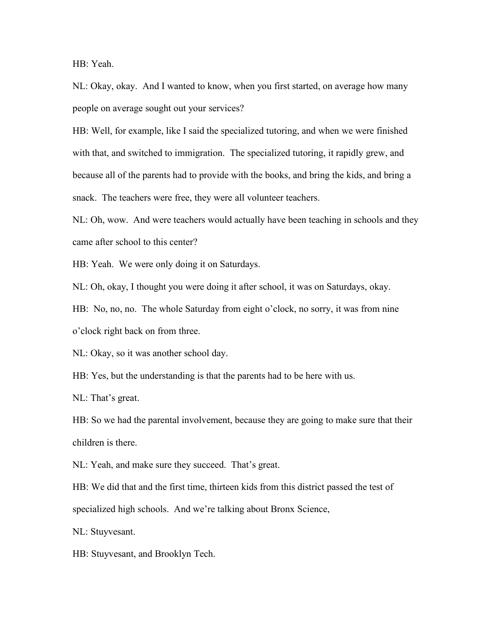HB: Yeah.

NL: Okay, okay. And I wanted to know, when you first started, on average how many people on average sought out your services?

HB: Well, for example, like I said the specialized tutoring, and when we were finished with that, and switched to immigration. The specialized tutoring, it rapidly grew, and because all of the parents had to provide with the books, and bring the kids, and bring a snack. The teachers were free, they were all volunteer teachers.

NL: Oh, wow. And were teachers would actually have been teaching in schools and they came after school to this center?

HB: Yeah. We were only doing it on Saturdays.

NL: Oh, okay, I thought you were doing it after school, it was on Saturdays, okay.

HB: No, no, no. The whole Saturday from eight o'clock, no sorry, it was from nine o'clock right back on from three.

NL: Okay, so it was another school day.

HB: Yes, but the understanding is that the parents had to be here with us.

NL: That's great.

HB: So we had the parental involvement, because they are going to make sure that their children is there.

NL: Yeah, and make sure they succeed. That's great.

HB: We did that and the first time, thirteen kids from this district passed the test of specialized high schools. And we're talking about Bronx Science,

NL: Stuyvesant.

HB: Stuyvesant, and Brooklyn Tech.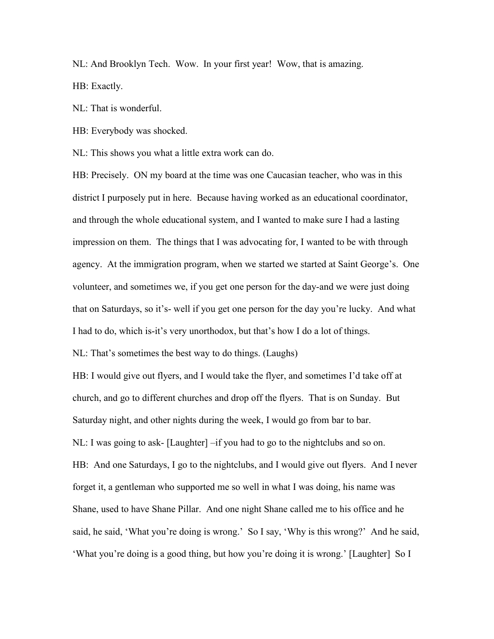NL: And Brooklyn Tech. Wow. In your first year! Wow, that is amazing.

HB: Exactly.

NL: That is wonderful.

HB: Everybody was shocked.

NL: This shows you what a little extra work can do.

HB: Precisely. ON my board at the time was one Caucasian teacher, who was in this district I purposely put in here. Because having worked as an educational coordinator, and through the whole educational system, and I wanted to make sure I had a lasting impression on them. The things that I was advocating for, I wanted to be with through agency. At the immigration program, when we started we started at Saint George's. One volunteer, and sometimes we, if you get one person for the day-and we were just doing that on Saturdays, so it's- well if you get one person for the day you're lucky. And what I had to do, which is-it's very unorthodox, but that's how I do a lot of things.

NL: That's sometimes the best way to do things. (Laughs)

HB: I would give out flyers, and I would take the flyer, and sometimes I'd take off at church, and go to different churches and drop off the flyers. That is on Sunday. But Saturday night, and other nights during the week, I would go from bar to bar. NL: I was going to ask- [Laughter] –if you had to go to the nightclubs and so on. HB: And one Saturdays, I go to the nightclubs, and I would give out flyers. And I never forget it, a gentleman who supported me so well in what I was doing, his name was Shane, used to have Shane Pillar. And one night Shane called me to his office and he said, he said, 'What you're doing is wrong.' So I say, 'Why is this wrong?' And he said, 'What you're doing is a good thing, but how you're doing it is wrong.' [Laughter] So I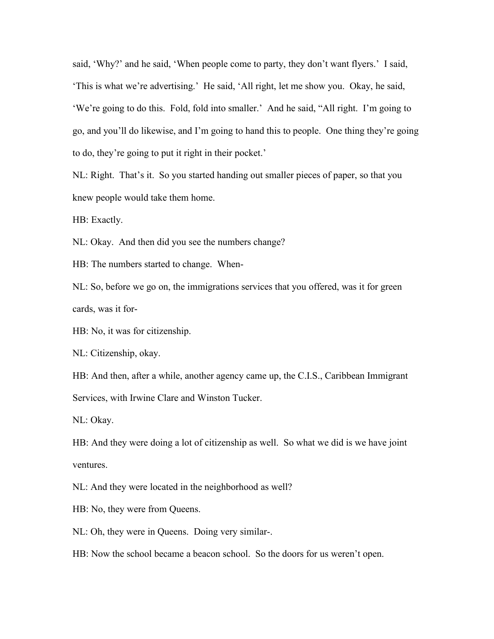said, 'Why?' and he said, 'When people come to party, they don't want flyers.' I said, 'This is what we're advertising.' He said, 'All right, let me show you. Okay, he said, 'We're going to do this. Fold, fold into smaller.' And he said, "All right. I'm going to go, and you'll do likewise, and I'm going to hand this to people. One thing they're going to do, they're going to put it right in their pocket.'

NL: Right. That's it. So you started handing out smaller pieces of paper, so that you knew people would take them home.

HB: Exactly.

NL: Okay. And then did you see the numbers change?

HB: The numbers started to change. When-

NL: So, before we go on, the immigrations services that you offered, was it for green cards, was it for-

HB: No, it was for citizenship.

NL: Citizenship, okay.

HB: And then, after a while, another agency came up, the C.I.S., Caribbean Immigrant Services, with Irwine Clare and Winston Tucker.

NL: Okay.

HB: And they were doing a lot of citizenship as well. So what we did is we have joint ventures.

NL: And they were located in the neighborhood as well?

HB: No, they were from Queens.

NL: Oh, they were in Queens. Doing very similar-.

HB: Now the school became a beacon school. So the doors for us weren't open.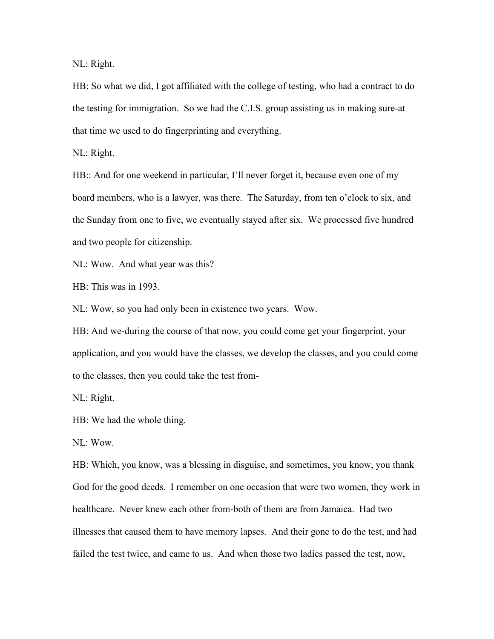NL: Right.

HB: So what we did, I got affiliated with the college of testing, who had a contract to do the testing for immigration. So we had the C.I.S. group assisting us in making sure-at that time we used to do fingerprinting and everything.

NL: Right.

HB:: And for one weekend in particular, I'll never forget it, because even one of my board members, who is a lawyer, was there. The Saturday, from ten o'clock to six, and the Sunday from one to five, we eventually stayed after six. We processed five hundred and two people for citizenship.

NL: Wow. And what year was this?

HB: This was in 1993.

NL: Wow, so you had only been in existence two years. Wow.

HB: And we-during the course of that now, you could come get your fingerprint, your application, and you would have the classes, we develop the classes, and you could come to the classes, then you could take the test from-

NL: Right.

HB: We had the whole thing.

NL: Wow.

HB: Which, you know, was a blessing in disguise, and sometimes, you know, you thank God for the good deeds. I remember on one occasion that were two women, they work in healthcare. Never knew each other from-both of them are from Jamaica. Had two illnesses that caused them to have memory lapses. And their gone to do the test, and had failed the test twice, and came to us. And when those two ladies passed the test, now,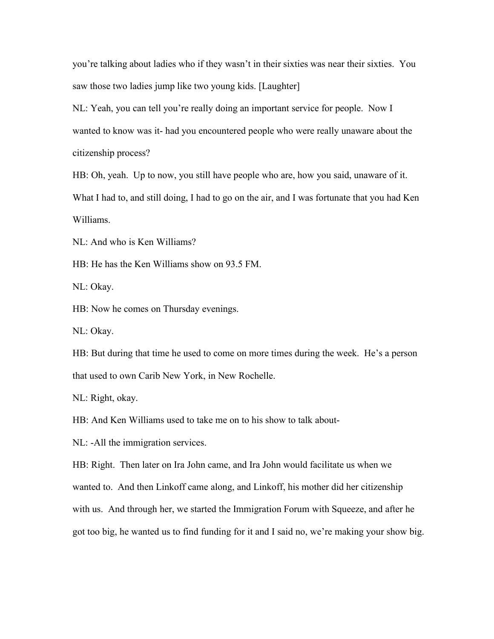you're talking about ladies who if they wasn't in their sixties was near their sixties. You saw those two ladies jump like two young kids. [Laughter]

NL: Yeah, you can tell you're really doing an important service for people. Now I wanted to know was it- had you encountered people who were really unaware about the citizenship process?

HB: Oh, yeah. Up to now, you still have people who are, how you said, unaware of it. What I had to, and still doing, I had to go on the air, and I was fortunate that you had Ken Williams.

NL: And who is Ken Williams?

HB: He has the Ken Williams show on 93.5 FM.

NL: Okay.

HB: Now he comes on Thursday evenings.

NL: Okay.

HB: But during that time he used to come on more times during the week. He's a person that used to own Carib New York, in New Rochelle.

NL: Right, okay.

HB: And Ken Williams used to take me on to his show to talk about-

NL: -All the immigration services.

HB: Right. Then later on Ira John came, and Ira John would facilitate us when we

wanted to. And then Linkoff came along, and Linkoff, his mother did her citizenship

with us. And through her, we started the Immigration Forum with Squeeze, and after he

got too big, he wanted us to find funding for it and I said no, we're making your show big.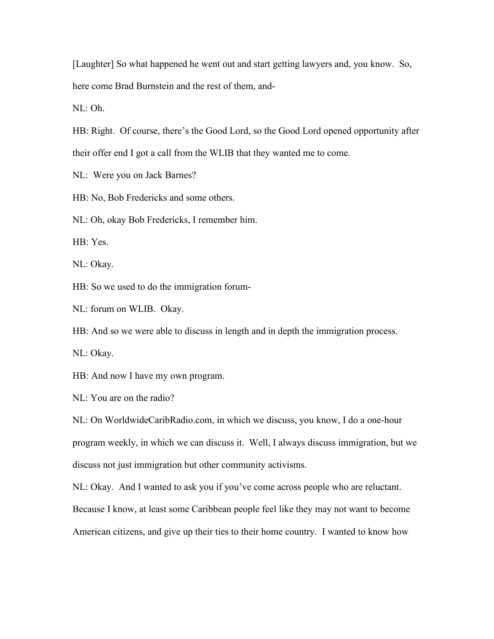[Laughter] So what happened he went out and start getting lawyers and, you know. So, here come Brad Burnstein and the rest of them, and-

NL: Oh.

HB: Right. Of course, there's the Good Lord, so the Good Lord opened opportunity after their offer end I got a call from the WLIB that they wanted me to come.

NL: Were you on Jack Barnes?

HB: No, Bob Fredericks and some others.

NL: Oh, okay Bob Fredericks, I remember him.

HB: Yes.

NL: Okay.

HB: So we used to do the immigration forum-

NL: forum on WLIB. Okay.

HB: And so we were able to discuss in length and in depth the immigration process.

NL: Okay.

HB: And now I have my own program.

NL: You are on the radio?

NL: On WorldwideCaribRadio.com, in which we discuss, you know, I do a one-hour program weekly, in which we can discuss it. Well, I always discuss immigration, but we discuss not just immigration but other community activisms.

NL: Okay. And I wanted to ask you if you've come across people who are reluctant.

Because I know, at least some Caribbean people feel like they may not want to become

American citizens, and give up their ties to their home country. I wanted to know how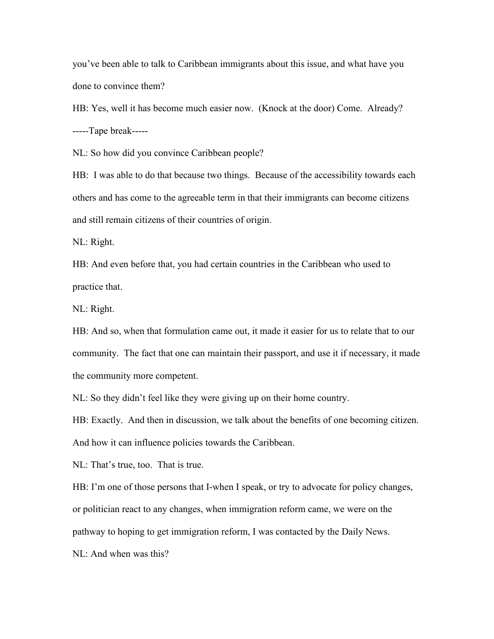you've been able to talk to Caribbean immigrants about this issue, and what have you done to convince them?

HB: Yes, well it has become much easier now. (Knock at the door) Come. Already? -----Tape break-----

NL: So how did you convince Caribbean people?

HB: I was able to do that because two things. Because of the accessibility towards each others and has come to the agreeable term in that their immigrants can become citizens and still remain citizens of their countries of origin.

NL: Right.

HB: And even before that, you had certain countries in the Caribbean who used to practice that.

NL: Right.

HB: And so, when that formulation came out, it made it easier for us to relate that to our community. The fact that one can maintain their passport, and use it if necessary, it made the community more competent.

NL: So they didn't feel like they were giving up on their home country.

HB: Exactly. And then in discussion, we talk about the benefits of one becoming citizen. And how it can influence policies towards the Caribbean.

NL: That's true, too. That is true.

HB: I'm one of those persons that I-when I speak, or try to advocate for policy changes, or politician react to any changes, when immigration reform came, we were on the pathway to hoping to get immigration reform, I was contacted by the Daily News.

NL: And when was this?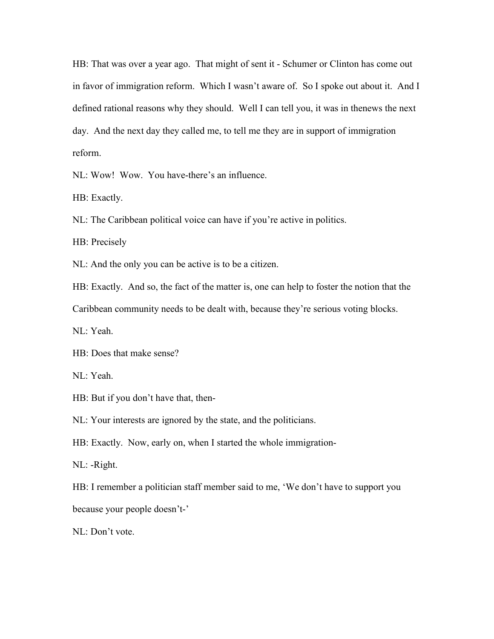HB: That was over a year ago. That might of sent it - Schumer or Clinton has come out in favor of immigration reform. Which I wasn't aware of. So I spoke out about it. And I defined rational reasons why they should. Well I can tell you, it was in thenews the next day. And the next day they called me, to tell me they are in support of immigration reform.

NL: Wow! Wow. You have-there's an influence.

HB: Exactly.

NL: The Caribbean political voice can have if you're active in politics.

HB: Precisely

NL: And the only you can be active is to be a citizen.

HB: Exactly. And so, the fact of the matter is, one can help to foster the notion that the

Caribbean community needs to be dealt with, because they're serious voting blocks.

NL: Yeah.

HB: Does that make sense?

NL: Yeah.

HB: But if you don't have that, then-

NL: Your interests are ignored by the state, and the politicians.

HB: Exactly. Now, early on, when I started the whole immigration-

NL: -Right.

HB: I remember a politician staff member said to me, 'We don't have to support you because your people doesn't-'

NL: Don't vote.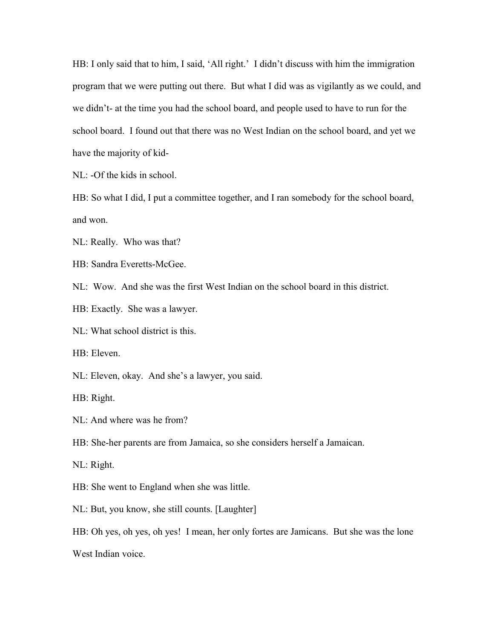HB: I only said that to him, I said, 'All right.' I didn't discuss with him the immigration program that we were putting out there. But what I did was as vigilantly as we could, and we didn't- at the time you had the school board, and people used to have to run for the school board. I found out that there was no West Indian on the school board, and yet we have the majority of kid-

NL: -Of the kids in school.

HB: So what I did, I put a committee together, and I ran somebody for the school board, and won.

NL: Really. Who was that?

HB: Sandra Everetts-McGee.

NL: Wow. And she was the first West Indian on the school board in this district.

HB: Exactly. She was a lawyer.

NL: What school district is this.

HB: Eleven.

NL: Eleven, okay. And she's a lawyer, you said.

HB: Right.

NL: And where was he from?

HB: She-her parents are from Jamaica, so she considers herself a Jamaican.

NL: Right.

HB: She went to England when she was little.

NL: But, you know, she still counts. [Laughter]

HB: Oh yes, oh yes, oh yes! I mean, her only fortes are Jamicans. But she was the lone West Indian voice.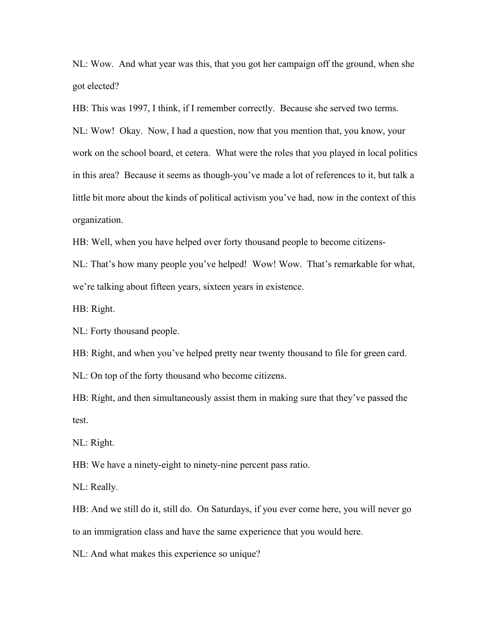NL: Wow. And what year was this, that you got her campaign off the ground, when she got elected?

HB: This was 1997, I think, if I remember correctly. Because she served two terms.

NL: Wow! Okay. Now, I had a question, now that you mention that, you know, your work on the school board, et cetera. What were the roles that you played in local politics in this area? Because it seems as though-you've made a lot of references to it, but talk a little bit more about the kinds of political activism you've had, now in the context of this organization.

HB: Well, when you have helped over forty thousand people to become citizens-

NL: That's how many people you've helped! Wow! Wow. That's remarkable for what, we're talking about fifteen years, sixteen years in existence.

HB: Right.

NL: Forty thousand people.

HB: Right, and when you've helped pretty near twenty thousand to file for green card.

NL: On top of the forty thousand who become citizens.

HB: Right, and then simultaneously assist them in making sure that they've passed the test.

NL: Right.

HB: We have a ninety-eight to ninety-nine percent pass ratio.

NL: Really.

HB: And we still do it, still do. On Saturdays, if you ever come here, you will never go to an immigration class and have the same experience that you would here.

NL: And what makes this experience so unique?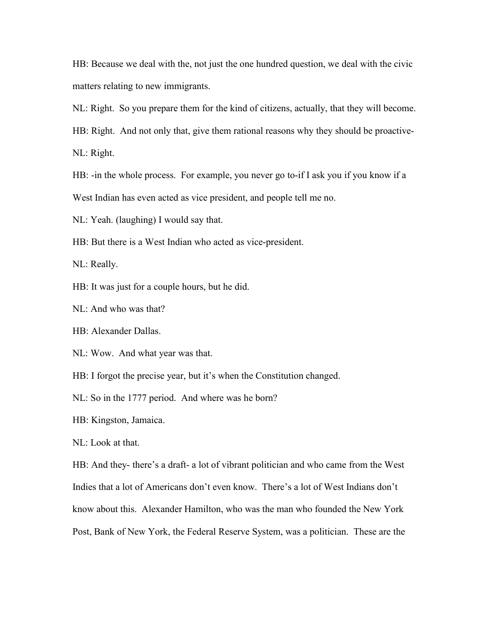HB: Because we deal with the, not just the one hundred question, we deal with the civic matters relating to new immigrants.

NL: Right. So you prepare them for the kind of citizens, actually, that they will become.

HB: Right. And not only that, give them rational reasons why they should be proactive-

NL: Right.

HB: -in the whole process. For example, you never go to-if I ask you if you know if a West Indian has even acted as vice president, and people tell me no.

NL: Yeah. (laughing) I would say that.

HB: But there is a West Indian who acted as vice-president.

NL: Really.

HB: It was just for a couple hours, but he did.

NL: And who was that?

HB: Alexander Dallas.

NL: Wow. And what year was that.

HB: I forgot the precise year, but it's when the Constitution changed.

NL: So in the 1777 period. And where was he born?

HB: Kingston, Jamaica.

NL: Look at that.

HB: And they- there's a draft- a lot of vibrant politician and who came from the West Indies that a lot of Americans don't even know. There's a lot of West Indians don't know about this. Alexander Hamilton, who was the man who founded the New York Post, Bank of New York, the Federal Reserve System, was a politician. These are the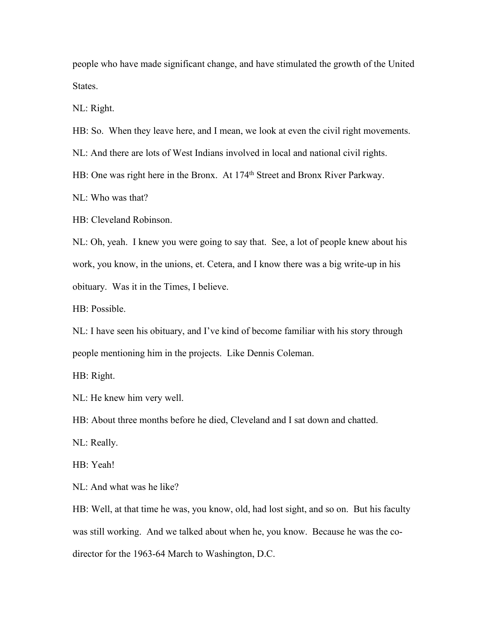people who have made significant change, and have stimulated the growth of the United States.

NL: Right.

HB: So. When they leave here, and I mean, we look at even the civil right movements.

NL: And there are lots of West Indians involved in local and national civil rights.

HB: One was right here in the Bronx. At 174<sup>th</sup> Street and Bronx River Parkway.

NL: Who was that?

HB: Cleveland Robinson.

NL: Oh, yeah. I knew you were going to say that. See, a lot of people knew about his work, you know, in the unions, et. Cetera, and I know there was a big write-up in his obituary. Was it in the Times, I believe.

HB: Possible.

NL: I have seen his obituary, and I've kind of become familiar with his story through people mentioning him in the projects. Like Dennis Coleman.

HB: Right.

NL: He knew him very well.

HB: About three months before he died, Cleveland and I sat down and chatted.

NL: Really.

HB: Yeah!

NL: And what was he like?

HB: Well, at that time he was, you know, old, had lost sight, and so on. But his faculty was still working. And we talked about when he, you know. Because he was the codirector for the 1963-64 March to Washington, D.C.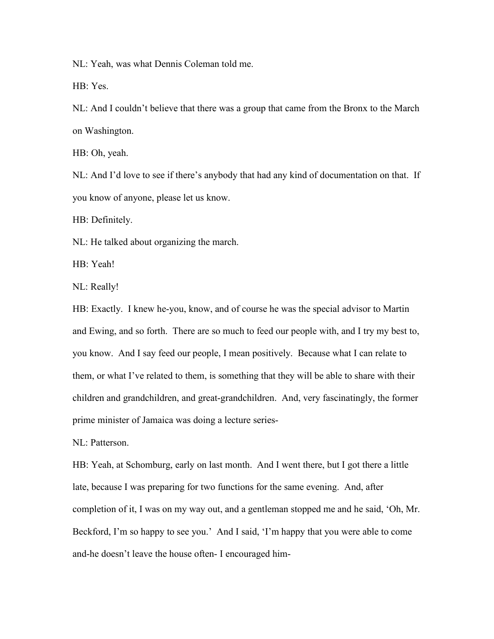NL: Yeah, was what Dennis Coleman told me.

HB: Yes.

NL: And I couldn't believe that there was a group that came from the Bronx tothe March on Washington.

HB: Oh, yeah.

NL: And I'd love to see if there's anybody that had any kind of documentation on that. If you know of anyone, please let us know.

HB: Definitely.

NL: He talked about organizing the march.

HB: Yeah!

NL: Really!

HB: Exactly. I knew he-you, know, and of course he was the special advisor to Martin and Ewing, and so forth. There are so much to feed our people with, and I try my best to, you know. And I say feed our people,I mean positively. Because what I can relate to them, or what I've related to them, is something that they will be able to share with their children and grandchildren, and great-grandchildren. And, very fascinatingly, the former prime minister of Jamaica was doing a lecture series-

NL: Patterson.

HB: Yeah, at Schomburg, early on last month. And I went there, but I got there a little late, because I was preparing for two functions for the same evening. And, after completion of it, I was on my way out, and a gentleman stopped me and he said, 'Oh, Mr. Beckford, I'm so happy to see you.' And I said, 'I'm happy that you were able to come and-he doesn't leave the house often- I encouraged him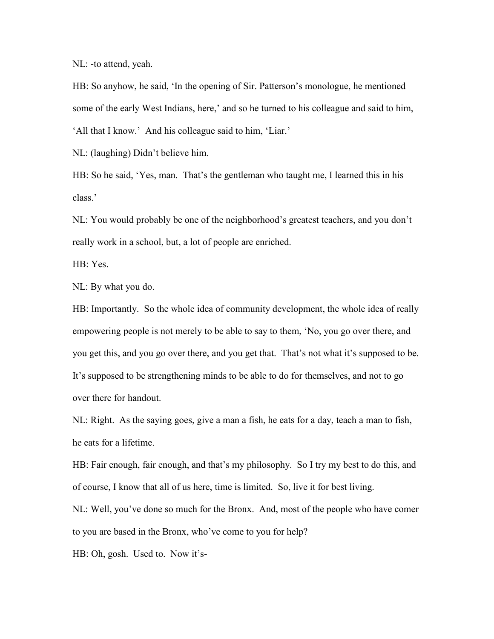NL: -to attend, yeah.

HB: So anyhow, he said, 'In the opening of Sir. Patterson's monologue, he mentioned some of the early West Indians, here,' and so he turned to his colleague and said to him, 'All that I know.' And his colleague said to him, 'Liar.'

NL: (laughing) Didn't believe him.

HB: So he said, 'Yes, man. That's the gentleman who taught me, I learned this in his class.'

NL: You would probably be one of the neighborhood's greatest teachers, and you don't really work in a school, but, a lot of people are enriched.

HB: Yes.

NL: By what you do.

HB: Importantly. So the whole idea of community development, the whole idea of really empowering people is not merely to be able to say to them, 'No, you go over there, and you get this, and you go over there, and you get that. That's not what it's supposed to be. It's supposed to be strengthening minds to be able to do for themselves, and not to go over there for handout.

NL: Right. As the saying goes, give a man a fish, he eats for a day, teach a man to fish, he eats for a lifetime.

HB: Fair enough, fair enough, and that's my philosophy. So I try my best to do this, and of course, I know that all of us here, time is limited. So, live it for best living.

NL: Well, you've done so much for the Bronx. And, most of the people who have comer to you are based in the Bronx, who've come to you forhelp?

HB: Oh, gosh. Used to. Now it's-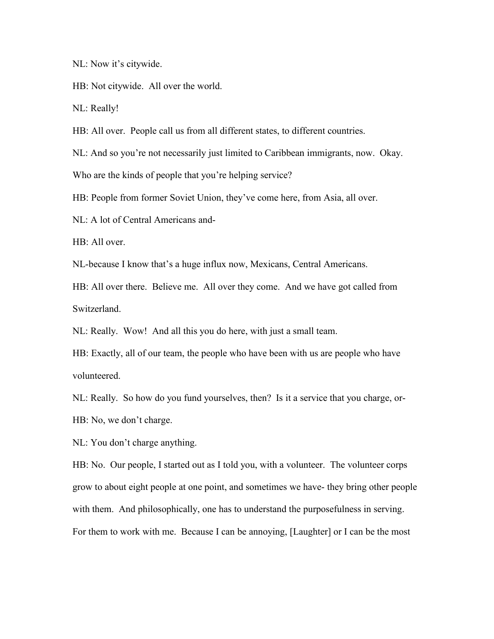NL: Now it's citywide.

HB: Not citywide. All over the world.

NL: Really!

HB: All over. People call us from all different states, to different countries.

NL: And so you're not necessarily just limited to Caribbean immigrants, now. Okay.

Who are the kinds of people that you're helping service?

HB: People from former Soviet Union, they've come here, from Asia, all over.

NL: A lot of Central Americans and-

HB: All over.

NL-because I know that's a huge influx now, Mexicans, Central Americans.

HB: All over there. Believe me. All over they come. And we have got called from Switzerland.

NL: Really. Wow! And all this you do here, with just a small team.

HB: Exactly, all of our team, the people who have been with us are people who have volunteered.

NL: Really. So how do you fund yourselves, then? Is it a service that you charge, or-HB: No, we don't charge.

NL: You don't charge anything.

HB: No. Our people, I started out as I told you, with a volunteer. The volunteer corps grow to about eight people at one point, and sometimes we have- they bring other people with them. And philosophically, one has to understand the purposefulness in serving. For them to work with me. Because I can be annoying, [Laughter] or I can be the most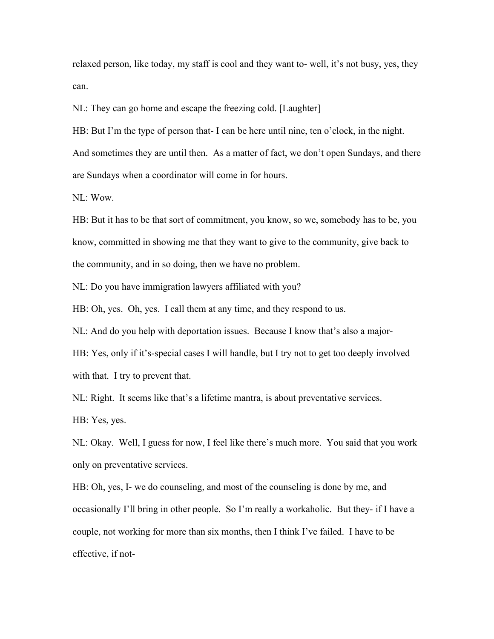relaxed person, like today, my staff is cool and they want to- well, it's not busy, yes, they can.

NL: They can go home and escape the freezing cold. [Laughter]

HB: But I'm the type of person that- I can be here until nine, ten o'clock, in the night. And sometimes they are until then. As a matter of fact, we don't open Sundays, and there are Sundays when a coordinator will come in for hours.

NL: Wow.

HB: But it has to be that sort of commitment, you know, so we, somebody has to be, you know, committed in showing me that they want to give to the community, give back to the community, and in so doing, then we have no problem.

NL: Do you have immigration lawyers affiliated with you?

HB: Oh, yes. Oh, yes. I call them at any time, and they respond to us.

NL: And do you help with deportation issues. Because I know that's also a major-

HB: Yes, only if it's-special cases I will handle, but I try not to get too deeply involved with that. I try to prevent that.

NL: Right. It seems like that's a lifetime mantra, is about preventative services.

HB: Yes, yes.

NL: Okay. Well, I guess for now, I feel like there's much more. You said that you work only on preventative services.

HB: Oh, yes, I- we do counseling, and most of the counseling is done by me, and occasionally I'll bring in other people. So I'm really a workaholic. But they- if I have a couple, not working for more than six months, then I think I've failed. I have to be effective, if not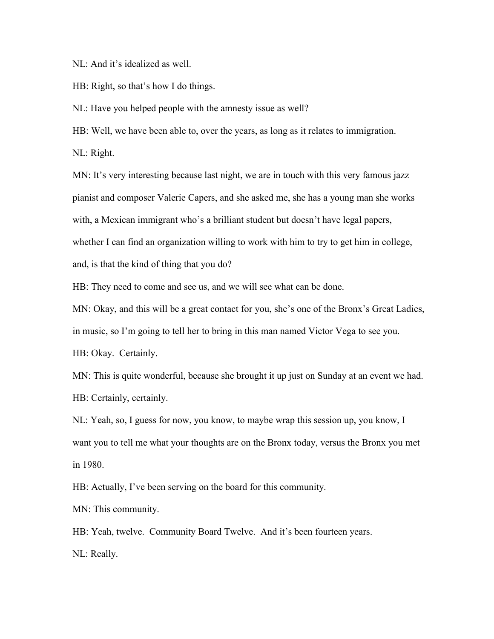NL: And it's idealized as well.

HB: Right, so that's how I do things.

NL: Have you helped people with the amnesty issue as well?

HB: Well, we have been able to, over the years, as long as it relates to immigration.

NL: Right.

MN: It's very interesting because last night, we are in touch with this very famous jazz pianist and composer Valerie Capers, and she asked me, she has a young man she works with, a Mexican immigrant who's a brilliant student but doesn't have legal papers, whether I can find an organization willing to work with him to try to get him in college, and, is that the kind of thing that you do?

HB: They need to come and see us, and we will see what can be done.

MN: Okay, and this will be a great contact for you, she's one of the Bronx's Great Ladies, in music, so I'm going to tell her to bring in this man named Victor Vega to see you.

HB: Okay. Certainly.

MN: This is quite wonderful, because she brought it up just on Sunday at an event we had. HB: Certainly, certainly.

NL: Yeah, so, I guess for now, you know, to maybe wrap this session up, you know, I want you to tell me what your thoughts are on the Bronx today, versus the Bronx you met in 1980.

HB: Actually, I've been serving on the board for this community.

MN: This community.

HB: Yeah, twelve. Community Board Twelve. And it's been fourteen years.

NL: Really.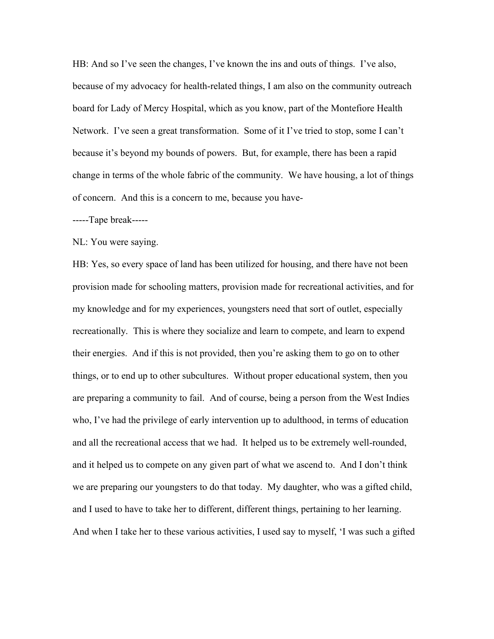HB: And so I've seen the changes, I've known the ins and outs of things. I've also, because of my advocacy for health-related things, I am also on the community outreach board for Lady of Mercy Hospital, which as you know, part of the Montefiore Health Network. I've seen a great transformation. Some of it I've tried to stop, some I can't because it's beyond my bounds of powers. But, for example, there has been a rapid change in terms of the whole fabric of the community. We have housing, a lot of things of concern. And this is a concern to me, because you have-

-----Tape break-----

NL: You were saying.

HB: Yes, so every space of land has been utilized for housing, and there have not been provision made for schooling matters, provision made for recreational activities, and for my knowledge and for my experiences, youngsters need that sort of outlet, especially recreationally. This is where they socialize and learn to compete, and learn to expend their energies. And if this is not provided, then you're asking them to go on to other things, or to end up to other subcultures. Without proper educational system, then you are preparing a community to fail. And of course, being a person from the West Indies who, I've had the privilege of early intervention up to adulthood, in terms of education and all the recreational access that we had. It helped us to be extremely well-rounded, and it helped us to compete on any given part of what we ascend to. And I don't think we are preparing our youngsters to do that today. My daughter, who was a gifted child, and I used to have to take her to different, different things, pertaining to her learning. And when I take her to these various activities, I used say to myself, 'I was such a gifted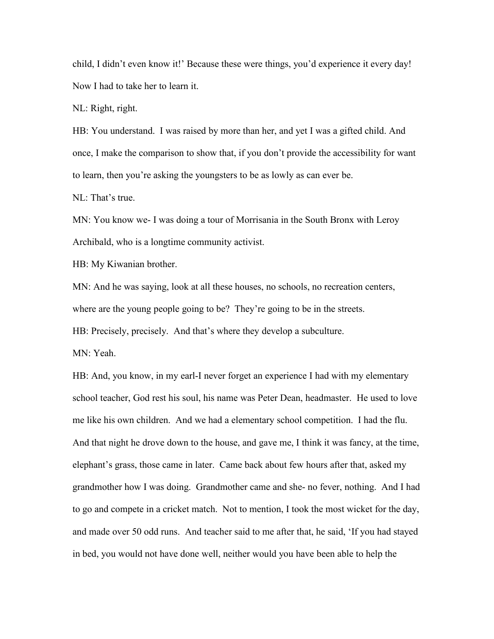child, I didn't even know it!' Because these were things, you'd experience it every day! Now I had to take her to learn it.

NL: Right, right.

HB: You understand. I was raised by more than her, and yet I was a gifted child. And once, I make the comparison to show that, if you don't provide the accessibility for want to learn, then you're asking the youngsters to be as lowly as can ever be.

NL: That's true.

MN: You know we- I was doing a tour of Morrisania in the South Bronx with Leroy Archibald, who is a longtime community activist.

HB: My Kiwanian brother.

MN: And he was saying, look at all these houses, no schools, no recreation centers,

where are the young people going to be? They're going to be in the streets.

HB: Precisely, precisely. And that's where they develop a subculture.

MN: Yeah.

HB: And, you know, in my earl-I never forget an experience I had with my elementary school teacher, God rest his soul, his name was Peter Dean, headmaster. He used to love me like his own children. And we had a elementary school competition. I had the flu. And that night he drove down to the house, and gave me, I think it was fancy, at the time, elephant's grass, those came in later. Came back about few hours after that, asked my grandmother how I was doing. Grandmother came and she- no fever, nothing. And I had to go and compete in a cricket match. Not to mention, I took the most wicket for the day, and made over 50 odd runs. And teacher said to me after that, he said, 'If you had stayed in bed, you would not have done well, neither would you have been able to help the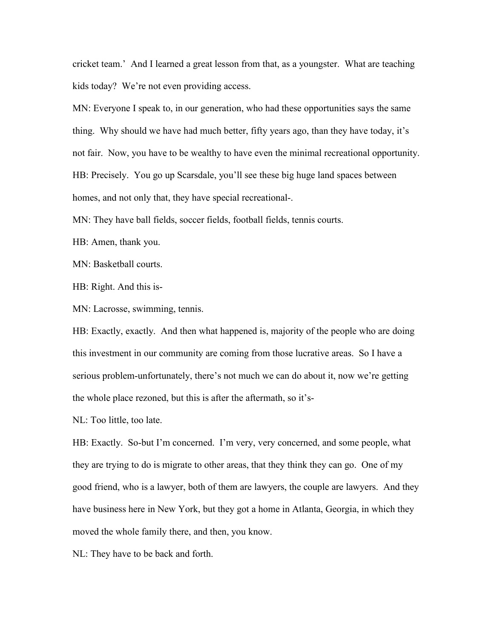cricket team.' And I learned a great lesson from that, as a youngster. What are teaching kids today? We're not even providing access.

MN: Everyone I speak to, in our generation, who had these opportunities says the same thing. Why should we have had much better, fifty years ago, than they have today, it's not fair. Now, you have to be wealthy to have even the minimal recreational opportunity. HB: Precisely. You go up Scarsdale, you'll see these big huge land spaces between homes, and not only that, they have special recreational-.

MN: They have ball fields, soccer fields, football fields, tennis courts.

HB: Amen, thank you.

MN: Basketball courts.

HB: Right. And this is-

MN: Lacrosse, swimming, tennis.

HB: Exactly, exactly. And then what happened is, majority of the people who are doing this investment in our community are coming from those lucrative areas. So I have a serious problem-unfortunately, there's not much we can do about it, now we're getting the whole place rezoned, but this is after the aftermath, so it's-

NL: Too little, too late.

HB: Exactly. So-but I'm concerned. I'm very, very concerned, and some people, what they are trying to do is migrate to other areas, that they think they can go. One of my good friend, who is a lawyer, both of them are lawyers, the couple are lawyers. And they have business here in New York, but they got a home in Atlanta, Georgia, in which they moved the whole family there, and then, you know.

NL: They have to be back and forth.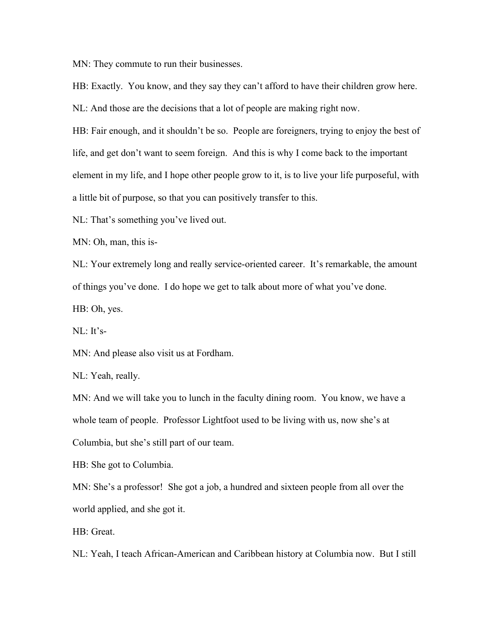MN: They commute to run their businesses.

HB: Exactly. You know, and they say they can't afford to have their children grow here. NL: And those are the decisions that a lot of people are making right now.

HB: Fair enough, and it shouldn't be so. People are foreigners, trying to enjoy the best of life, and get don't want to seem foreign. And this is why I come back to the important element in my life, and I hope other people grow to it, is to live your life purposeful, with

a little bit of purpose, so that you can positively transfer to this.

NL: That's something you've lived out.

MN: Oh, man, this is-

NL: Your extremely long and really service-oriented career. It's remarkable, the amount of things you've done. I do hope we get to talk aboutmore of what you've done.

HB: Oh, yes.

NL: It's-

MN: And please also visit us at Fordham.

NL: Yeah, really.

MN: And we will take you to lunch in the faculty dining room. You know, we have a whole team of people. Professor Lightfoot used to be living with us, now she's at Columbia, but she's still part of our team.

HB: She got to Columbia.

MN: She's a professor! She got a job, a hundred and sixteen people from all over the world applied, and she got it.

HB: Great.

NL: Yeah, I teach African-American and Caribbean history at Columbia now. But I still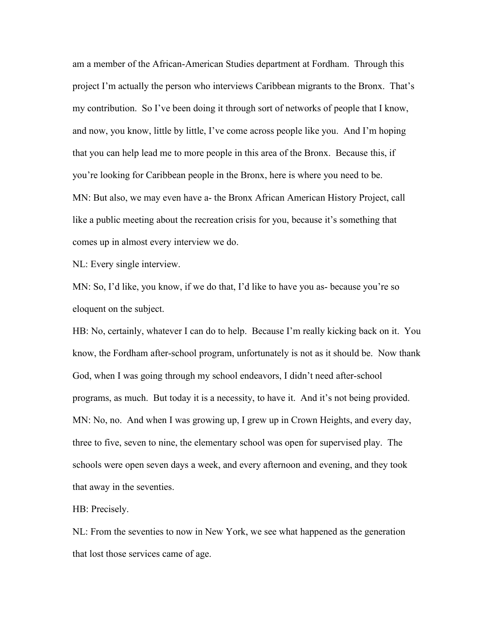am a member of the African-American Studies department at Fordham. Through this project I'm actually the person who interviews Caribbean migrants to the Bronx. That's my contribution. So I've been doing it through sort of networks of people that I know, and now, you know, little by little, I've come across people like you. And I'm hoping that you can help lead me to more people in this area of the Bronx. Because this, if you're looking for Caribbean people in the Bronx, here is where you need to be. MN: But also, we may even have a- the Bronx African American History Project, call like a public meeting about the recreation crisis for you, because it's something that comes up in almost every interview we do.

NL: Every single interview.

MN: So, I'd like, you know, if we do that, I'd like to have you as- because you're so eloquent on the subject.

HB: No, certainly, whatever I can do to help. Because I'm really kicking back on it. You know, the Fordham after-school program, unfortunately is not as it should be. Now thank God, when I was going through my school endeavors, I didn't need after-school programs, as much. But today it is a necessity, to have it. And it's not being provided. MN: No, no. And when I was growing up, I grew up in Crown Heights, and every day, three to five, seven to nine, the elementary school was open for supervised play. The schools were open seven days a week, and every afternoon and evening, and they took that away in the seventies.

HB: Precisely.

NL: From the seventies to now in New York, we see what happened as the generation that lost those services came of age.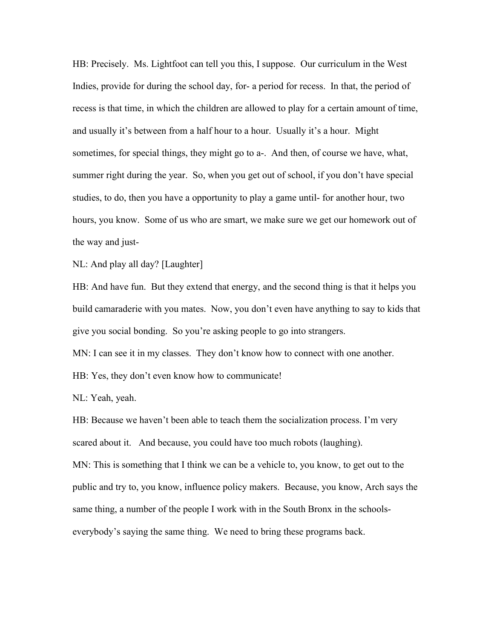HB: Precisely. Ms. Lightfoot can tell you this, I suppose. Our curriculum in the West Indies, provide for during the school day, for- a period for recess. In that, the period of recess is that time, in which the children are allowed to play for a certain amount of time, and usually it's between from a half hour to a hour. Usually it's a hour. Might sometimes, for special things, they might go to a-. And then, of course we have, what, summer right during the year. So, when you get out of school, if you don't have special studies, to do, then you have a opportunity to play a game until- for another hour, two hours, you know. Some of us who are smart, we make sure we get our homework out of the way and just-

NL: And play all day? [Laughter]

HB: And have fun. But they extend that energy, and the second thing is that it helps you build camaraderie with you mates. Now, you don't even have anything to say to kids that give you social bonding. So you're asking people to go into strangers.

MN: I can see it in my classes. They don't know how to connect with one another.

HB: Yes, they don't even know how to communicate!

NL: Yeah, yeah.

HB: Because we haven't been able to teach them the socialization process. I'm very scared about it. And because, you could have too much robots (laughing).

MN: This is something that I think we can be a vehicle to, you know, to get out to the public and try to, you know, influence policy makers. Because, you know, Arch says the same thing, a number of the people I work with in the South Bronx in the schoolseverybody's saying the same thing. We need to bring these programs back.